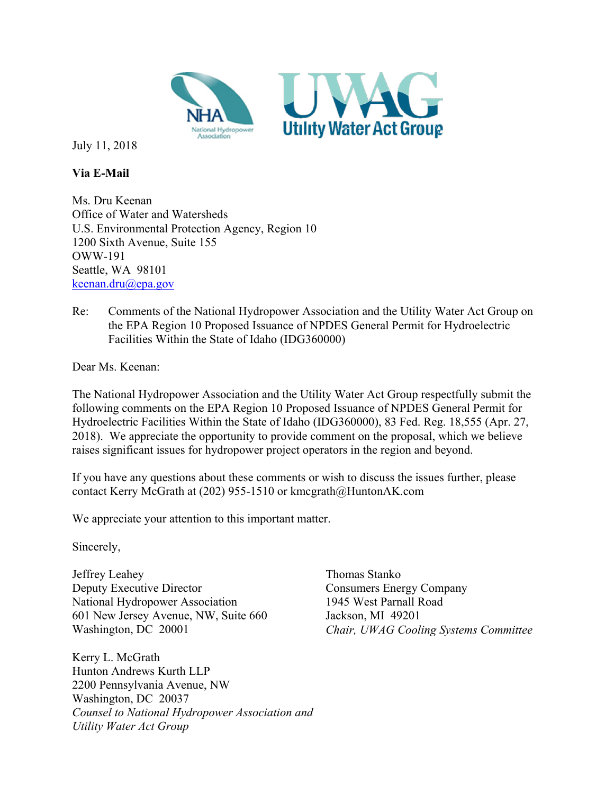

July 11, 2018

**Via E-Mail** 

Ms. Dru Keenan Office of Water and Watersheds U.S. Environmental Protection Agency, Region 10 1200 Sixth Avenue, Suite 155 OWW-191 Seattle, WA 98101 keenan.dru@epa.gov

Re: Comments of the National Hydropower Association and the Utility Water Act Group on the EPA Region 10 Proposed Issuance of NPDES General Permit for Hydroelectric Facilities Within the State of Idaho (IDG360000)

Dear Ms. Keenan:

The National Hydropower Association and the Utility Water Act Group respectfully submit the following comments on the EPA Region 10 Proposed Issuance of NPDES General Permit for Hydroelectric Facilities Within the State of Idaho (IDG360000), 83 Fed. Reg. 18,555 (Apr. 27, 2018). We appreciate the opportunity to provide comment on the proposal, which we believe raises significant issues for hydropower project operators in the region and beyond.

If you have any questions about these comments or wish to discuss the issues further, please contact Kerry McGrath at (202) 955-1510 or kmcgrath@HuntonAK.com

We appreciate your attention to this important matter.

Sincerely,

Jeffrey Leahey Deputy Executive Director National Hydropower Association 601 New Jersey Avenue, NW, Suite 660 Washington, DC 20001

Kerry L. McGrath Hunton Andrews Kurth LLP 2200 Pennsylvania Avenue, NW Washington, DC 20037 *Counsel to National Hydropower Association and Utility Water Act Group* 

Thomas Stanko Consumers Energy Company 1945 West Parnall Road Jackson, MI 49201 *Chair, UWAG Cooling Systems Committee*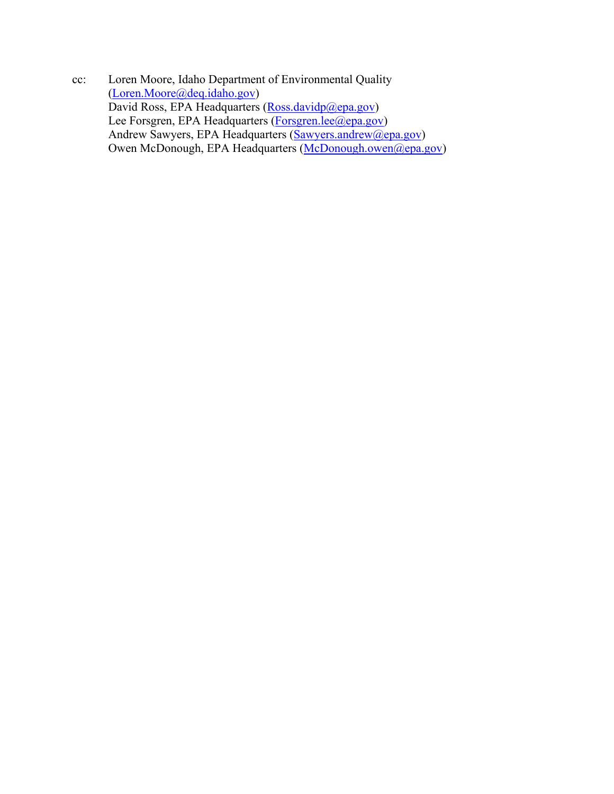cc: Loren Moore, Idaho Department of Environmental Quality (Loren.Moore@deq.idaho.gov) David Ross, EPA Headquarters (Ross.davidp@epa.gov) Lee Forsgren, EPA Headquarters (Forsgren.lee@epa.gov) Andrew Sawyers, EPA Headquarters (Sawyers.andrew@epa.gov) Owen McDonough, EPA Headquarters (McDonough.owen@epa.gov)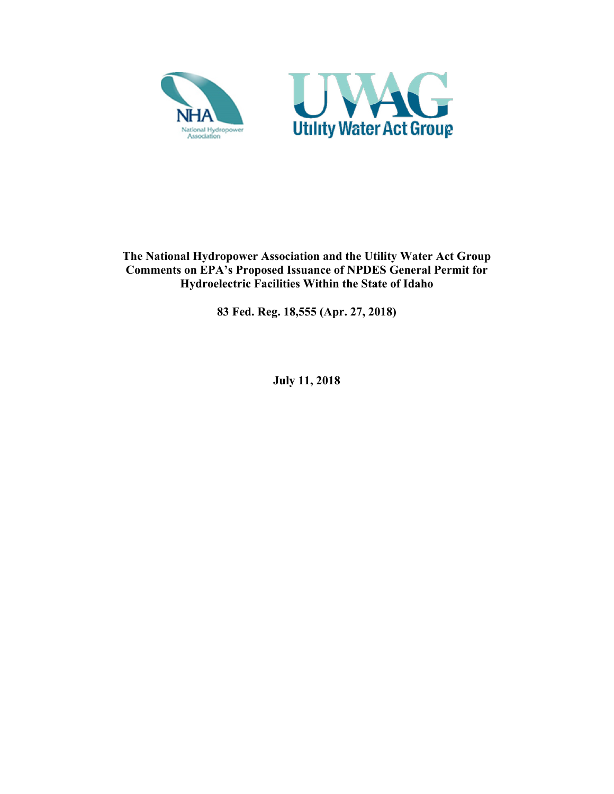



**The National Hydropower Association and the Utility Water Act Group Comments on EPA's Proposed Issuance of NPDES General Permit for Hydroelectric Facilities Within the State of Idaho** 

**83 Fed. Reg. 18,555 (Apr. 27, 2018)** 

**July 11, 2018**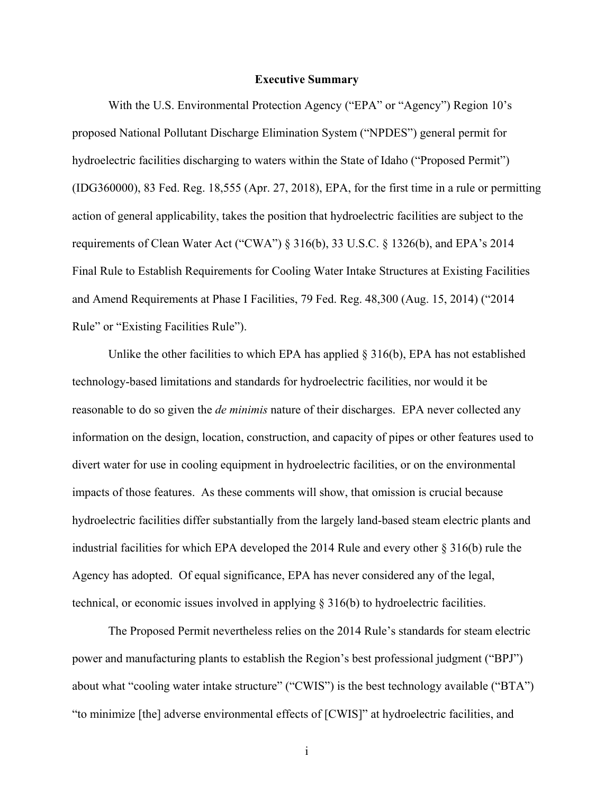#### **Executive Summary**

With the U.S. Environmental Protection Agency ("EPA" or "Agency") Region 10's proposed National Pollutant Discharge Elimination System ("NPDES") general permit for hydroelectric facilities discharging to waters within the State of Idaho ("Proposed Permit") (IDG360000), 83 Fed. Reg. 18,555 (Apr. 27, 2018), EPA, for the first time in a rule or permitting action of general applicability, takes the position that hydroelectric facilities are subject to the requirements of Clean Water Act ("CWA") § 316(b), 33 U.S.C. § 1326(b), and EPA's 2014 Final Rule to Establish Requirements for Cooling Water Intake Structures at Existing Facilities and Amend Requirements at Phase I Facilities, 79 Fed. Reg. 48,300 (Aug. 15, 2014) ("2014 Rule" or "Existing Facilities Rule").

Unlike the other facilities to which EPA has applied  $\S 316(b)$ , EPA has not established technology-based limitations and standards for hydroelectric facilities, nor would it be reasonable to do so given the *de minimis* nature of their discharges. EPA never collected any information on the design, location, construction, and capacity of pipes or other features used to divert water for use in cooling equipment in hydroelectric facilities, or on the environmental impacts of those features. As these comments will show, that omission is crucial because hydroelectric facilities differ substantially from the largely land-based steam electric plants and industrial facilities for which EPA developed the 2014 Rule and every other § 316(b) rule the Agency has adopted. Of equal significance, EPA has never considered any of the legal, technical, or economic issues involved in applying § 316(b) to hydroelectric facilities.

The Proposed Permit nevertheless relies on the 2014 Rule's standards for steam electric power and manufacturing plants to establish the Region's best professional judgment ("BPJ") about what "cooling water intake structure" ("CWIS") is the best technology available ("BTA") "to minimize [the] adverse environmental effects of [CWIS]" at hydroelectric facilities, and

i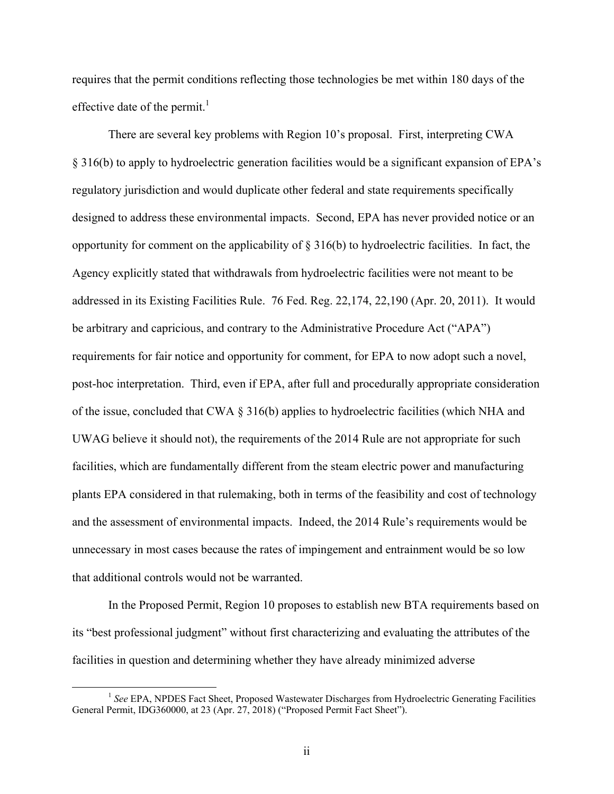requires that the permit conditions reflecting those technologies be met within 180 days of the effective date of the permit.<sup>1</sup>

There are several key problems with Region 10's proposal. First, interpreting CWA § 316(b) to apply to hydroelectric generation facilities would be a significant expansion of EPA's regulatory jurisdiction and would duplicate other federal and state requirements specifically designed to address these environmental impacts. Second, EPA has never provided notice or an opportunity for comment on the applicability of § 316(b) to hydroelectric facilities. In fact, the Agency explicitly stated that withdrawals from hydroelectric facilities were not meant to be addressed in its Existing Facilities Rule. 76 Fed. Reg. 22,174, 22,190 (Apr. 20, 2011). It would be arbitrary and capricious, and contrary to the Administrative Procedure Act ("APA") requirements for fair notice and opportunity for comment, for EPA to now adopt such a novel, post-hoc interpretation. Third, even if EPA, after full and procedurally appropriate consideration of the issue, concluded that CWA § 316(b) applies to hydroelectric facilities (which NHA and UWAG believe it should not), the requirements of the 2014 Rule are not appropriate for such facilities, which are fundamentally different from the steam electric power and manufacturing plants EPA considered in that rulemaking, both in terms of the feasibility and cost of technology and the assessment of environmental impacts. Indeed, the 2014 Rule's requirements would be unnecessary in most cases because the rates of impingement and entrainment would be so low that additional controls would not be warranted.

In the Proposed Permit, Region 10 proposes to establish new BTA requirements based on its "best professional judgment" without first characterizing and evaluating the attributes of the facilities in question and determining whether they have already minimized adverse

<sup>&</sup>lt;sup>1</sup> See EPA, NPDES Fact Sheet, Proposed Wastewater Discharges from Hydroelectric Generating Facilities General Permit, IDG360000, at 23 (Apr. 27, 2018) ("Proposed Permit Fact Sheet").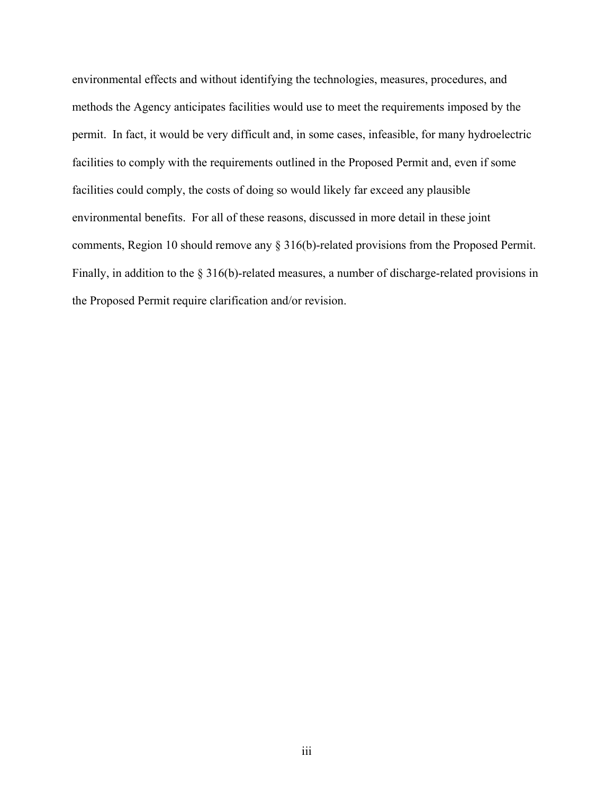environmental effects and without identifying the technologies, measures, procedures, and methods the Agency anticipates facilities would use to meet the requirements imposed by the permit. In fact, it would be very difficult and, in some cases, infeasible, for many hydroelectric facilities to comply with the requirements outlined in the Proposed Permit and, even if some facilities could comply, the costs of doing so would likely far exceed any plausible environmental benefits. For all of these reasons, discussed in more detail in these joint comments, Region 10 should remove any § 316(b)-related provisions from the Proposed Permit. Finally, in addition to the § 316(b)-related measures, a number of discharge-related provisions in the Proposed Permit require clarification and/or revision.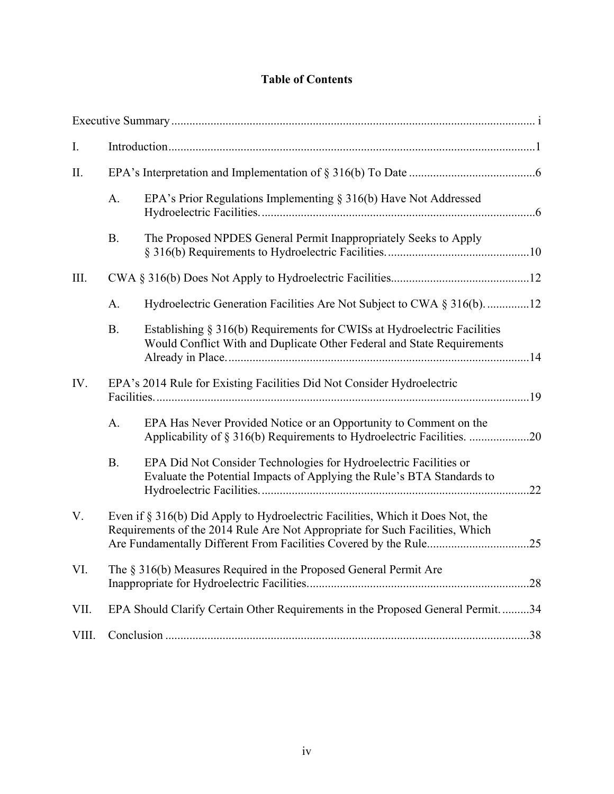# **Table of Contents**

| I.    |                                                                                                                                                                |                                                                                                                                                    |     |  |
|-------|----------------------------------------------------------------------------------------------------------------------------------------------------------------|----------------------------------------------------------------------------------------------------------------------------------------------------|-----|--|
| II.   |                                                                                                                                                                |                                                                                                                                                    |     |  |
|       | A.                                                                                                                                                             | EPA's Prior Regulations Implementing $\S$ 316(b) Have Not Addressed                                                                                |     |  |
|       | <b>B.</b>                                                                                                                                                      | The Proposed NPDES General Permit Inappropriately Seeks to Apply                                                                                   |     |  |
| III.  |                                                                                                                                                                |                                                                                                                                                    |     |  |
|       | A.                                                                                                                                                             | Hydroelectric Generation Facilities Are Not Subject to CWA § 316(b). 12                                                                            |     |  |
|       | <b>B.</b>                                                                                                                                                      | Establishing § 316(b) Requirements for CWISs at Hydroelectric Facilities<br>Would Conflict With and Duplicate Other Federal and State Requirements |     |  |
| IV.   | EPA's 2014 Rule for Existing Facilities Did Not Consider Hydroelectric                                                                                         |                                                                                                                                                    |     |  |
|       | A.                                                                                                                                                             | EPA Has Never Provided Notice or an Opportunity to Comment on the<br>Applicability of § 316(b) Requirements to Hydroelectric Facilities. 20        |     |  |
|       | <b>B.</b>                                                                                                                                                      | EPA Did Not Consider Technologies for Hydroelectric Facilities or<br>Evaluate the Potential Impacts of Applying the Rule's BTA Standards to        | .22 |  |
| V.    | Even if § 316(b) Did Apply to Hydroelectric Facilities, Which it Does Not, the<br>Requirements of the 2014 Rule Are Not Appropriate for Such Facilities, Which |                                                                                                                                                    | .25 |  |
| VI.   | The § 316(b) Measures Required in the Proposed General Permit Are                                                                                              |                                                                                                                                                    |     |  |
| VII.  | EPA Should Clarify Certain Other Requirements in the Proposed General Permit. 34                                                                               |                                                                                                                                                    |     |  |
| VIII. |                                                                                                                                                                |                                                                                                                                                    |     |  |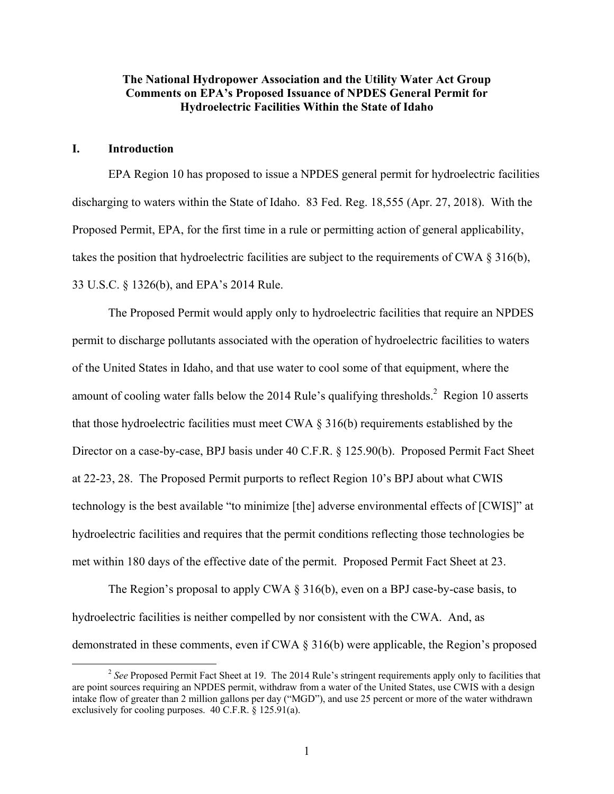## **The National Hydropower Association and the Utility Water Act Group Comments on EPA's Proposed Issuance of NPDES General Permit for Hydroelectric Facilities Within the State of Idaho**

#### **I. Introduction**

EPA Region 10 has proposed to issue a NPDES general permit for hydroelectric facilities discharging to waters within the State of Idaho. 83 Fed. Reg. 18,555 (Apr. 27, 2018). With the Proposed Permit, EPA, for the first time in a rule or permitting action of general applicability, takes the position that hydroelectric facilities are subject to the requirements of CWA § 316(b), 33 U.S.C. § 1326(b), and EPA's 2014 Rule.

The Proposed Permit would apply only to hydroelectric facilities that require an NPDES permit to discharge pollutants associated with the operation of hydroelectric facilities to waters of the United States in Idaho, and that use water to cool some of that equipment, where the amount of cooling water falls below the 2014 Rule's qualifying thresholds. $2$  Region 10 asserts that those hydroelectric facilities must meet CWA  $\S$  316(b) requirements established by the Director on a case-by-case, BPJ basis under 40 C.F.R. § 125.90(b). Proposed Permit Fact Sheet at 22-23, 28. The Proposed Permit purports to reflect Region 10's BPJ about what CWIS technology is the best available "to minimize [the] adverse environmental effects of [CWIS]" at hydroelectric facilities and requires that the permit conditions reflecting those technologies be met within 180 days of the effective date of the permit. Proposed Permit Fact Sheet at 23.

The Region's proposal to apply CWA § 316(b), even on a BPJ case-by-case basis, to hydroelectric facilities is neither compelled by nor consistent with the CWA. And, as demonstrated in these comments, even if CWA § 316(b) were applicable, the Region's proposed

<sup>&</sup>lt;sup>2</sup> See Proposed Permit Fact Sheet at 19. The 2014 Rule's stringent requirements apply only to facilities that are point sources requiring an NPDES permit, withdraw from a water of the United States, use CWIS with a design intake flow of greater than 2 million gallons per day ("MGD"), and use 25 percent or more of the water withdrawn exclusively for cooling purposes. 40 C.F.R. § 125.91(a).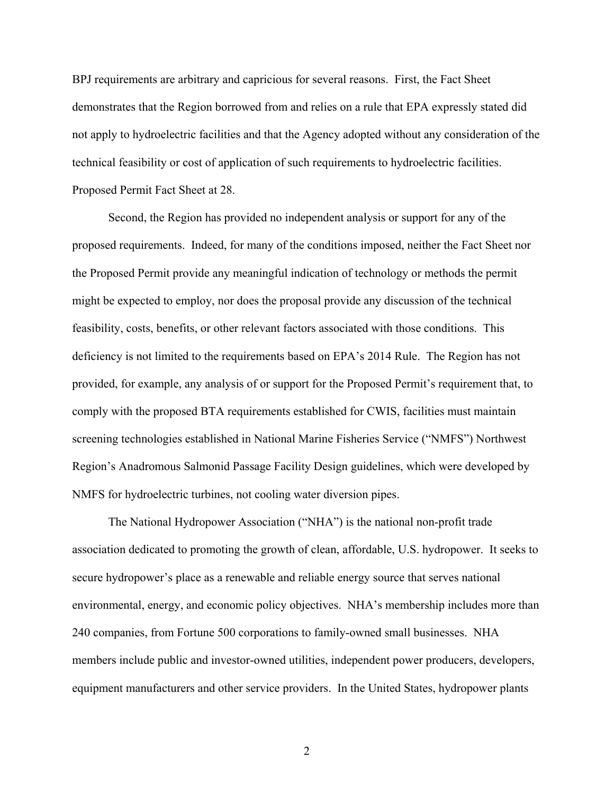BPJ requirements are arbitrary and capricious for several reasons. First, the Fact Sheet demonstrates that the Region borrowed from and relies on a rule that EPA expressly stated did not apply to hydroelectric facilities and that the Agency adopted without any consideration of the technical feasibility or cost of application of such requirements to hydroelectric facilities. Proposed Permit Fact Sheet at 28.

Second, the Region has provided no independent analysis or support for any of the proposed requirements. Indeed, for many of the conditions imposed, neither the Fact Sheet nor the Proposed Permit provide any meaningful indication of technology or methods the permit might be expected to employ, nor does the proposal provide any discussion of the technical feasibility, costs, benefits, or other relevant factors associated with those conditions. This deficiency is not limited to the requirements based on EPA's 2014 Rule. The Region has not provided, for example, any analysis of or support for the Proposed Permit's requirement that, to comply with the proposed BTA requirements established for CWIS, facilities must maintain screening technologies established in National Marine Fisheries Service ("NMFS") Northwest Region's Anadromous Salmonid Passage Facility Design guidelines, which were developed by NMFS for hydroelectric turbines, not cooling water diversion pipes.

The National Hydropower Association ("NHA") is the national non-profit trade association dedicated to promoting the growth of clean, affordable, U.S. hydropower. It seeks to secure hydropower's place as a renewable and reliable energy source that serves national environmental, energy, and economic policy objectives. NHA's membership includes more than 240 companies, from Fortune 500 corporations to family-owned small businesses. NHA members include public and investor-owned utilities, independent power producers, developers, equipment manufacturers and other service providers. In the United States, hydropower plants

2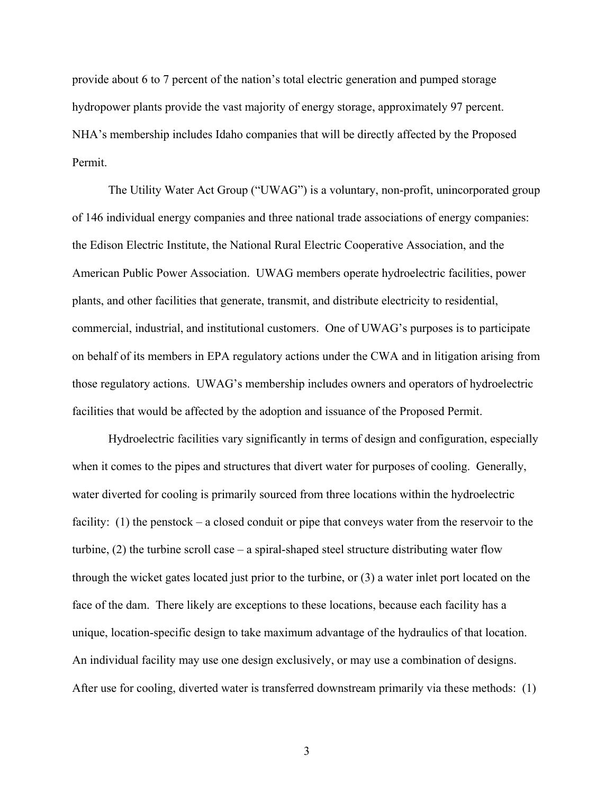provide about 6 to 7 percent of the nation's total electric generation and pumped storage hydropower plants provide the vast majority of energy storage, approximately 97 percent. NHA's membership includes Idaho companies that will be directly affected by the Proposed Permit.

The Utility Water Act Group ("UWAG") is a voluntary, non-profit, unincorporated group of 146 individual energy companies and three national trade associations of energy companies: the Edison Electric Institute, the National Rural Electric Cooperative Association, and the American Public Power Association. UWAG members operate hydroelectric facilities, power plants, and other facilities that generate, transmit, and distribute electricity to residential, commercial, industrial, and institutional customers. One of UWAG's purposes is to participate on behalf of its members in EPA regulatory actions under the CWA and in litigation arising from those regulatory actions. UWAG's membership includes owners and operators of hydroelectric facilities that would be affected by the adoption and issuance of the Proposed Permit.

Hydroelectric facilities vary significantly in terms of design and configuration, especially when it comes to the pipes and structures that divert water for purposes of cooling. Generally, water diverted for cooling is primarily sourced from three locations within the hydroelectric facility: (1) the penstock – a closed conduit or pipe that conveys water from the reservoir to the turbine, (2) the turbine scroll case – a spiral-shaped steel structure distributing water flow through the wicket gates located just prior to the turbine, or (3) a water inlet port located on the face of the dam. There likely are exceptions to these locations, because each facility has a unique, location-specific design to take maximum advantage of the hydraulics of that location. An individual facility may use one design exclusively, or may use a combination of designs. After use for cooling, diverted water is transferred downstream primarily via these methods: (1)

3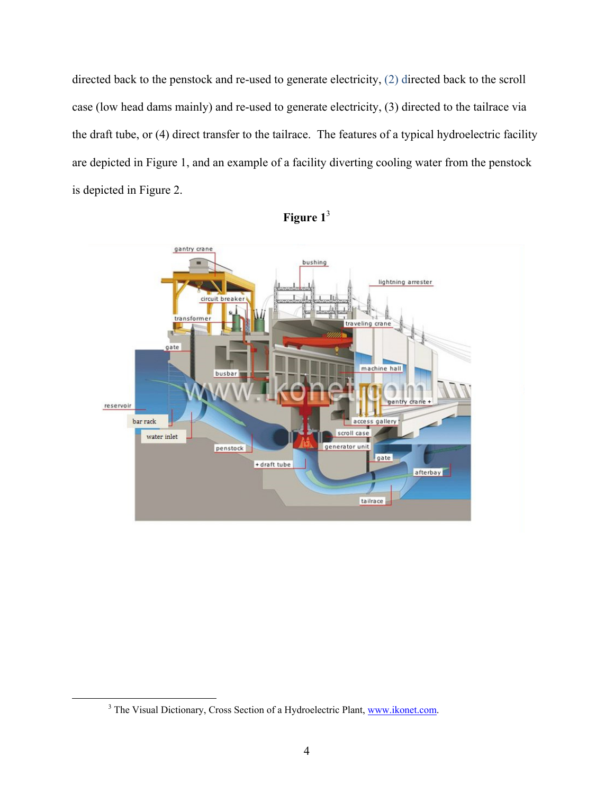directed back to the penstock and re-used to generate electricity, (2) directed back to the scroll case (low head dams mainly) and re-used to generate electricity, (3) directed to the tailrace via the draft tube, or (4) direct transfer to the tailrace. The features of a typical hydroelectric facility are depicted in Figure 1, and an example of a facility diverting cooling water from the penstock is depicted in Figure 2.





 <sup>3</sup> <sup>3</sup> The Visual Dictionary, Cross Section of a Hydroelectric Plant, www.ikonet.com.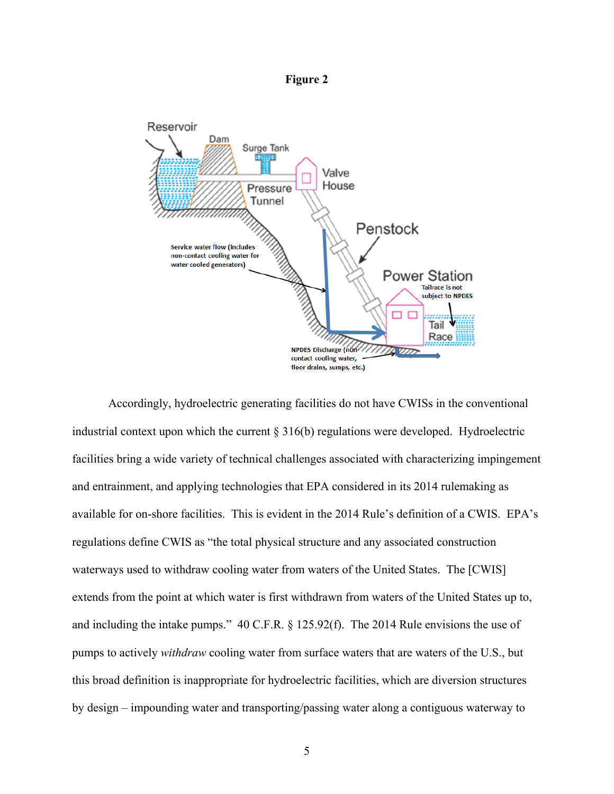**Figure 2** 



Accordingly, hydroelectric generating facilities do not have CWISs in the conventional industrial context upon which the current  $\S 316(b)$  regulations were developed. Hydroelectric facilities bring a wide variety of technical challenges associated with characterizing impingement and entrainment, and applying technologies that EPA considered in its 2014 rulemaking as available for on-shore facilities. This is evident in the 2014 Rule's definition of a CWIS. EPA's regulations define CWIS as "the total physical structure and any associated construction waterways used to withdraw cooling water from waters of the United States. The [CWIS] extends from the point at which water is first withdrawn from waters of the United States up to, and including the intake pumps." 40 C.F.R. § 125.92(f). The 2014 Rule envisions the use of pumps to actively *withdraw* cooling water from surface waters that are waters of the U.S., but this broad definition is inappropriate for hydroelectric facilities, which are diversion structures by design – impounding water and transporting/passing water along a contiguous waterway to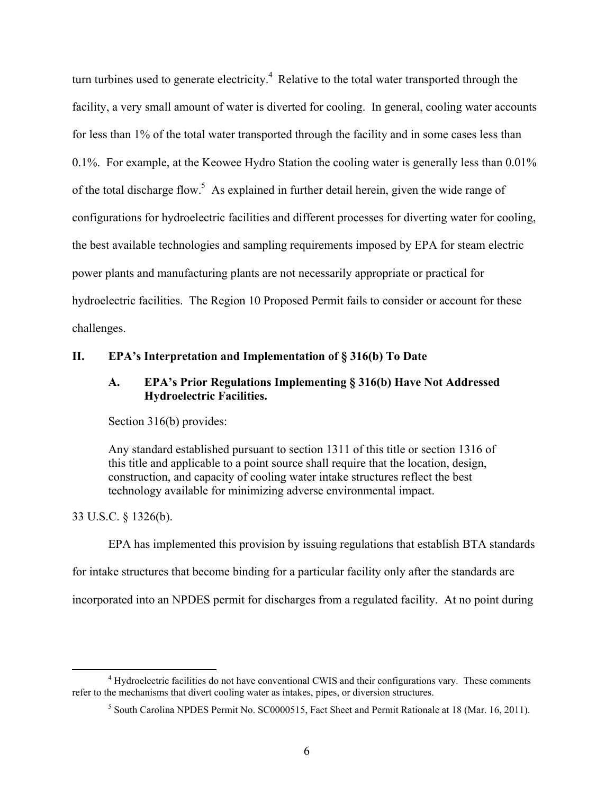turn turbines used to generate electricity.<sup>4</sup> Relative to the total water transported through the facility, a very small amount of water is diverted for cooling. In general, cooling water accounts for less than 1% of the total water transported through the facility and in some cases less than 0.1%. For example, at the Keowee Hydro Station the cooling water is generally less than 0.01% of the total discharge flow.<sup>5</sup> As explained in further detail herein, given the wide range of configurations for hydroelectric facilities and different processes for diverting water for cooling, the best available technologies and sampling requirements imposed by EPA for steam electric power plants and manufacturing plants are not necessarily appropriate or practical for hydroelectric facilities. The Region 10 Proposed Permit fails to consider or account for these challenges.

#### **II. EPA's Interpretation and Implementation of § 316(b) To Date**

## **A. EPA's Prior Regulations Implementing § 316(b) Have Not Addressed Hydroelectric Facilities.**

Section 316(b) provides:

Any standard established pursuant to section 1311 of this title or section 1316 of this title and applicable to a point source shall require that the location, design, construction, and capacity of cooling water intake structures reflect the best technology available for minimizing adverse environmental impact.

33 U.S.C. § 1326(b).

EPA has implemented this provision by issuing regulations that establish BTA standards for intake structures that become binding for a particular facility only after the standards are incorporated into an NPDES permit for discharges from a regulated facility. At no point during

 $\frac{1}{4}$ <sup>4</sup> Hydroelectric facilities do not have conventional CWIS and their configurations vary. These comments refer to the mechanisms that divert cooling water as intakes, pipes, or diversion structures.

<sup>&</sup>lt;sup>5</sup> South Carolina NPDES Permit No. SC0000515, Fact Sheet and Permit Rationale at 18 (Mar. 16, 2011).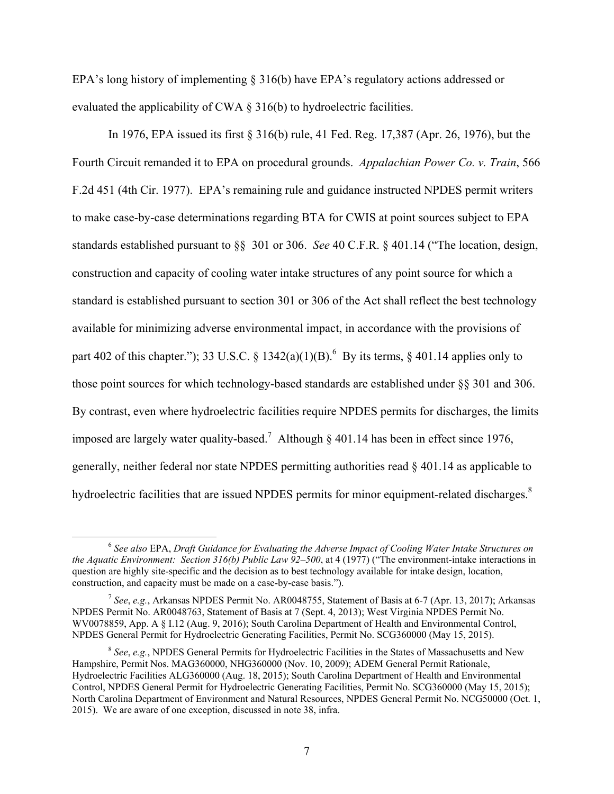EPA's long history of implementing § 316(b) have EPA's regulatory actions addressed or evaluated the applicability of CWA § 316(b) to hydroelectric facilities.

In 1976, EPA issued its first § 316(b) rule, 41 Fed. Reg. 17,387 (Apr. 26, 1976), but the Fourth Circuit remanded it to EPA on procedural grounds. *Appalachian Power Co. v. Train*, 566 F.2d 451 (4th Cir. 1977). EPA's remaining rule and guidance instructed NPDES permit writers to make case-by-case determinations regarding BTA for CWIS at point sources subject to EPA standards established pursuant to §§ 301 or 306. *See* 40 C.F.R. § 401.14 ("The location, design, construction and capacity of cooling water intake structures of any point source for which a standard is established pursuant to section 301 or 306 of the Act shall reflect the best technology available for minimizing adverse environmental impact, in accordance with the provisions of part 402 of this chapter."); 33 U.S.C. § 1342(a)(1)(B).<sup>6</sup> By its terms, § 401.14 applies only to those point sources for which technology-based standards are established under §§ 301 and 306. By contrast, even where hydroelectric facilities require NPDES permits for discharges, the limits imposed are largely water quality-based.<sup>7</sup> Although § 401.14 has been in effect since 1976, generally, neither federal nor state NPDES permitting authorities read § 401.14 as applicable to hydroelectric facilities that are issued NPDES permits for minor equipment-related discharges.<sup>8</sup>

 <sup>6</sup> *See also* EPA, *Draft Guidance for Evaluating the Adverse Impact of Cooling Water Intake Structures on the Aquatic Environment: Section 316(b) Public Law 92–500*, at 4 (1977) ("The environment-intake interactions in question are highly site-specific and the decision as to best technology available for intake design, location, construction, and capacity must be made on a case-by-case basis.").

<sup>7</sup> *See*, *e.g.*, Arkansas NPDES Permit No. AR0048755, Statement of Basis at 6-7 (Apr. 13, 2017); Arkansas NPDES Permit No. AR0048763, Statement of Basis at 7 (Sept. 4, 2013); West Virginia NPDES Permit No. WV0078859, App. A § I.12 (Aug. 9, 2016); South Carolina Department of Health and Environmental Control, NPDES General Permit for Hydroelectric Generating Facilities, Permit No. SCG360000 (May 15, 2015).

<sup>8</sup> *See*, *e.g.*, NPDES General Permits for Hydroelectric Facilities in the States of Massachusetts and New Hampshire, Permit Nos. MAG360000, NHG360000 (Nov. 10, 2009); ADEM General Permit Rationale, Hydroelectric Facilities ALG360000 (Aug. 18, 2015); South Carolina Department of Health and Environmental Control, NPDES General Permit for Hydroelectric Generating Facilities, Permit No. SCG360000 (May 15, 2015); North Carolina Department of Environment and Natural Resources, NPDES General Permit No. NCG50000 (Oct. 1, 2015). We are aware of one exception, discussed in note 38, infra.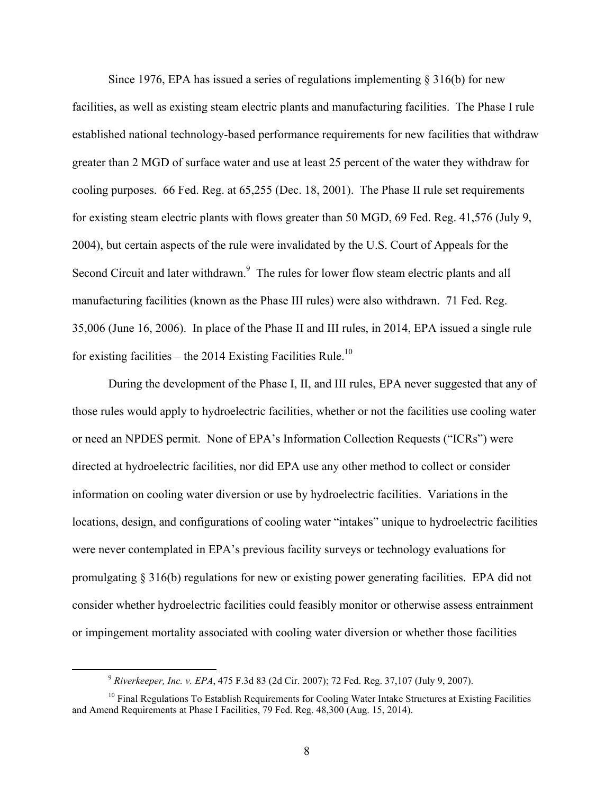Since 1976, EPA has issued a series of regulations implementing  $\S 316(b)$  for new facilities, as well as existing steam electric plants and manufacturing facilities. The Phase I rule established national technology-based performance requirements for new facilities that withdraw greater than 2 MGD of surface water and use at least 25 percent of the water they withdraw for cooling purposes. 66 Fed. Reg. at 65,255 (Dec. 18, 2001). The Phase II rule set requirements for existing steam electric plants with flows greater than 50 MGD, 69 Fed. Reg. 41,576 (July 9, 2004), but certain aspects of the rule were invalidated by the U.S. Court of Appeals for the Second Circuit and later withdrawn.<sup>9</sup> The rules for lower flow steam electric plants and all manufacturing facilities (known as the Phase III rules) were also withdrawn. 71 Fed. Reg. 35,006 (June 16, 2006). In place of the Phase II and III rules, in 2014, EPA issued a single rule for existing facilities – the 2014 Existing Facilities Rule.<sup>10</sup>

During the development of the Phase I, II, and III rules, EPA never suggested that any of those rules would apply to hydroelectric facilities, whether or not the facilities use cooling water or need an NPDES permit. None of EPA's Information Collection Requests ("ICRs") were directed at hydroelectric facilities, nor did EPA use any other method to collect or consider information on cooling water diversion or use by hydroelectric facilities. Variations in the locations, design, and configurations of cooling water "intakes" unique to hydroelectric facilities were never contemplated in EPA's previous facility surveys or technology evaluations for promulgating § 316(b) regulations for new or existing power generating facilities. EPA did not consider whether hydroelectric facilities could feasibly monitor or otherwise assess entrainment or impingement mortality associated with cooling water diversion or whether those facilities

 <sup>9</sup> *Riverkeeper, Inc. v. EPA*, 475 F.3d 83 (2d Cir. 2007); 72 Fed. Reg. 37,107 (July 9, 2007).

<sup>&</sup>lt;sup>10</sup> Final Regulations To Establish Requirements for Cooling Water Intake Structures at Existing Facilities and Amend Requirements at Phase I Facilities, 79 Fed. Reg. 48,300 (Aug. 15, 2014).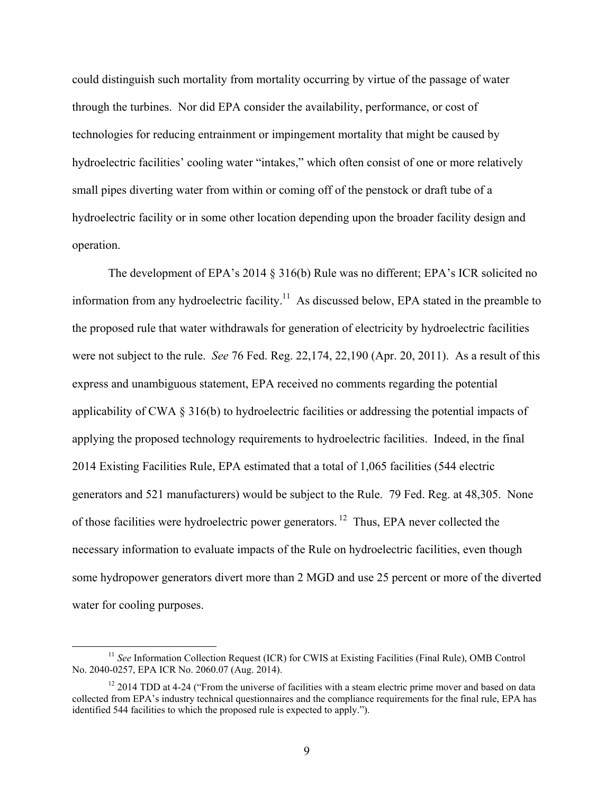could distinguish such mortality from mortality occurring by virtue of the passage of water through the turbines. Nor did EPA consider the availability, performance, or cost of technologies for reducing entrainment or impingement mortality that might be caused by hydroelectric facilities' cooling water "intakes," which often consist of one or more relatively small pipes diverting water from within or coming off of the penstock or draft tube of a hydroelectric facility or in some other location depending upon the broader facility design and operation.

The development of EPA's 2014 § 316(b) Rule was no different; EPA's ICR solicited no information from any hydroelectric facility.<sup>11</sup> As discussed below, EPA stated in the preamble to the proposed rule that water withdrawals for generation of electricity by hydroelectric facilities were not subject to the rule. *See* 76 Fed. Reg. 22,174, 22,190 (Apr. 20, 2011). As a result of this express and unambiguous statement, EPA received no comments regarding the potential applicability of CWA § 316(b) to hydroelectric facilities or addressing the potential impacts of applying the proposed technology requirements to hydroelectric facilities. Indeed, in the final 2014 Existing Facilities Rule, EPA estimated that a total of 1,065 facilities (544 electric generators and 521 manufacturers) would be subject to the Rule. 79 Fed. Reg. at 48,305. None of those facilities were hydroelectric power generators. 12 Thus, EPA never collected the necessary information to evaluate impacts of the Rule on hydroelectric facilities, even though some hydropower generators divert more than 2 MGD and use 25 percent or more of the diverted water for cooling purposes.

<sup>&</sup>lt;sup>11</sup> *See* Information Collection Request (ICR) for CWIS at Existing Facilities (Final Rule), OMB Control No. 2040-0257, EPA ICR No. 2060.07 (Aug. 2014).

 $12$  2014 TDD at 4-24 ("From the universe of facilities with a steam electric prime mover and based on data collected from EPA's industry technical questionnaires and the compliance requirements for the final rule, EPA has identified 544 facilities to which the proposed rule is expected to apply.").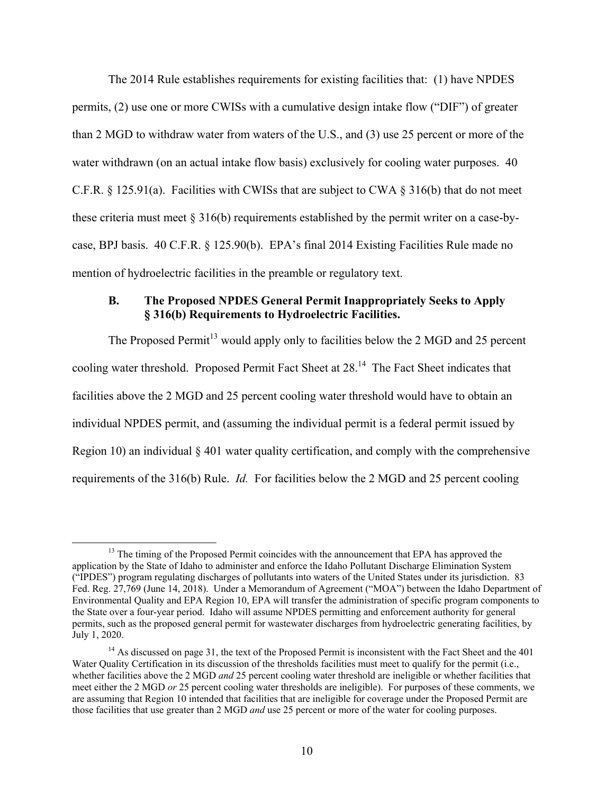The 2014 Rule establishes requirements for existing facilities that: (1) have NPDES permits, (2) use one or more CWISs with a cumulative design intake flow ("DIF") of greater than 2 MGD to withdraw water from waters of the U.S., and (3) use 25 percent or more of the water withdrawn (on an actual intake flow basis) exclusively for cooling water purposes. 40 C.F.R. § 125.91(a). Facilities with CWISs that are subject to CWA § 316(b) that do not meet these criteria must meet  $\S 316(b)$  requirements established by the permit writer on a case-bycase, BPJ basis. 40 C.F.R. § 125.90(b). EPA's final 2014 Existing Facilities Rule made no mention of hydroelectric facilities in the preamble or regulatory text.

## **B. The Proposed NPDES General Permit Inappropriately Seeks to Apply § 316(b) Requirements to Hydroelectric Facilities.**

The Proposed Permit<sup>13</sup> would apply only to facilities below the 2 MGD and 25 percent cooling water threshold. Proposed Permit Fact Sheet at 28.14 The Fact Sheet indicates that facilities above the 2 MGD and 25 percent cooling water threshold would have to obtain an individual NPDES permit, and (assuming the individual permit is a federal permit issued by Region 10) an individual § 401 water quality certification, and comply with the comprehensive requirements of the 316(b) Rule. *Id.* For facilities below the 2 MGD and 25 percent cooling

<sup>&</sup>lt;sup>13</sup> The timing of the Proposed Permit coincides with the announcement that EPA has approved the application by the State of Idaho to administer and enforce the Idaho Pollutant Discharge Elimination System ("IPDES") program regulating discharges of pollutants into waters of the United States under its jurisdiction. 83 Fed. Reg. 27,769 (June 14, 2018). Under a Memorandum of Agreement ("MOA") between the Idaho Department of Environmental Quality and EPA Region 10, EPA will transfer the administration of specific program components to the State over a four-year period. Idaho will assume NPDES permitting and enforcement authority for general permits, such as the proposed general permit for wastewater discharges from hydroelectric generating facilities, by July 1, 2020.

<sup>&</sup>lt;sup>14</sup> As discussed on page 31, the text of the Proposed Permit is inconsistent with the Fact Sheet and the 401 Water Quality Certification in its discussion of the thresholds facilities must meet to qualify for the permit (i.e., whether facilities above the 2 MGD *and* 25 percent cooling water threshold are ineligible or whether facilities that meet either the 2 MGD *or* 25 percent cooling water thresholds are ineligible). For purposes of these comments, we are assuming that Region 10 intended that facilities that are ineligible for coverage under the Proposed Permit are those facilities that use greater than 2 MGD *and* use 25 percent or more of the water for cooling purposes.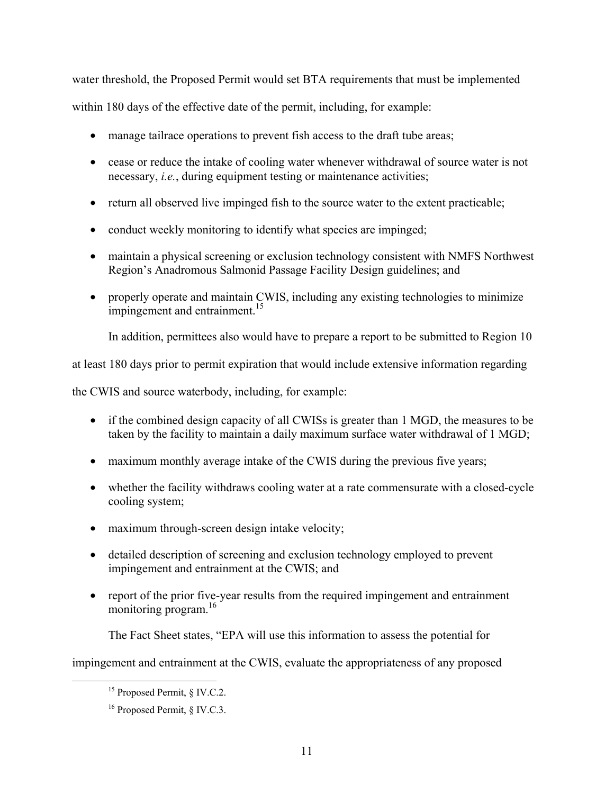water threshold, the Proposed Permit would set BTA requirements that must be implemented

within 180 days of the effective date of the permit, including, for example:

- manage tailrace operations to prevent fish access to the draft tube areas;
- cease or reduce the intake of cooling water whenever withdrawal of source water is not necessary, *i.e.*, during equipment testing or maintenance activities;
- return all observed live impinged fish to the source water to the extent practicable;
- conduct weekly monitoring to identify what species are impinged;
- maintain a physical screening or exclusion technology consistent with NMFS Northwest Region's Anadromous Salmonid Passage Facility Design guidelines; and
- properly operate and maintain CWIS, including any existing technologies to minimize impingement and entrainment.<sup>15</sup>

In addition, permittees also would have to prepare a report to be submitted to Region 10

at least 180 days prior to permit expiration that would include extensive information regarding

the CWIS and source waterbody, including, for example:

- if the combined design capacity of all CWISs is greater than 1 MGD, the measures to be taken by the facility to maintain a daily maximum surface water withdrawal of 1 MGD;
- maximum monthly average intake of the CWIS during the previous five years;
- whether the facility withdraws cooling water at a rate commensurate with a closed-cycle cooling system;
- maximum through-screen design intake velocity;
- detailed description of screening and exclusion technology employed to prevent impingement and entrainment at the CWIS; and
- report of the prior five-year results from the required impingement and entrainment monitoring program.<sup>16</sup>

The Fact Sheet states, "EPA will use this information to assess the potential for

impingement and entrainment at the CWIS, evaluate the appropriateness of any proposed

<sup>&</sup>lt;sup>15</sup> Proposed Permit, § IV.C.2.

<sup>16</sup> Proposed Permit, § IV.C.3.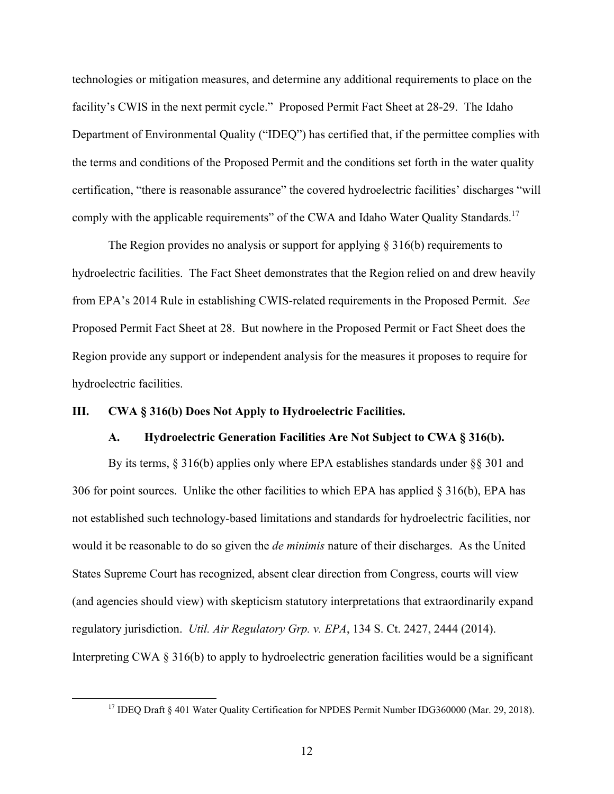technologies or mitigation measures, and determine any additional requirements to place on the facility's CWIS in the next permit cycle." Proposed Permit Fact Sheet at 28-29. The Idaho Department of Environmental Quality ("IDEQ") has certified that, if the permittee complies with the terms and conditions of the Proposed Permit and the conditions set forth in the water quality certification, "there is reasonable assurance" the covered hydroelectric facilities' discharges "will comply with the applicable requirements" of the CWA and Idaho Water Quality Standards.<sup>17</sup>

The Region provides no analysis or support for applying  $\S 316(b)$  requirements to hydroelectric facilities. The Fact Sheet demonstrates that the Region relied on and drew heavily from EPA's 2014 Rule in establishing CWIS-related requirements in the Proposed Permit. *See*  Proposed Permit Fact Sheet at 28. But nowhere in the Proposed Permit or Fact Sheet does the Region provide any support or independent analysis for the measures it proposes to require for hydroelectric facilities.

#### **III. CWA § 316(b) Does Not Apply to Hydroelectric Facilities.**

#### **A. Hydroelectric Generation Facilities Are Not Subject to CWA § 316(b).**

By its terms, § 316(b) applies only where EPA establishes standards under §§ 301 and 306 for point sources. Unlike the other facilities to which EPA has applied § 316(b), EPA has not established such technology-based limitations and standards for hydroelectric facilities, nor would it be reasonable to do so given the *de minimis* nature of their discharges. As the United States Supreme Court has recognized, absent clear direction from Congress, courts will view (and agencies should view) with skepticism statutory interpretations that extraordinarily expand regulatory jurisdiction. *Util. Air Regulatory Grp. v. EPA*, 134 S. Ct. 2427, 2444 (2014). Interpreting CWA  $\S 316(b)$  to apply to hydroelectric generation facilities would be a significant

<sup>&</sup>lt;sup>17</sup> IDEQ Draft § 401 Water Quality Certification for NPDES Permit Number IDG360000 (Mar. 29, 2018).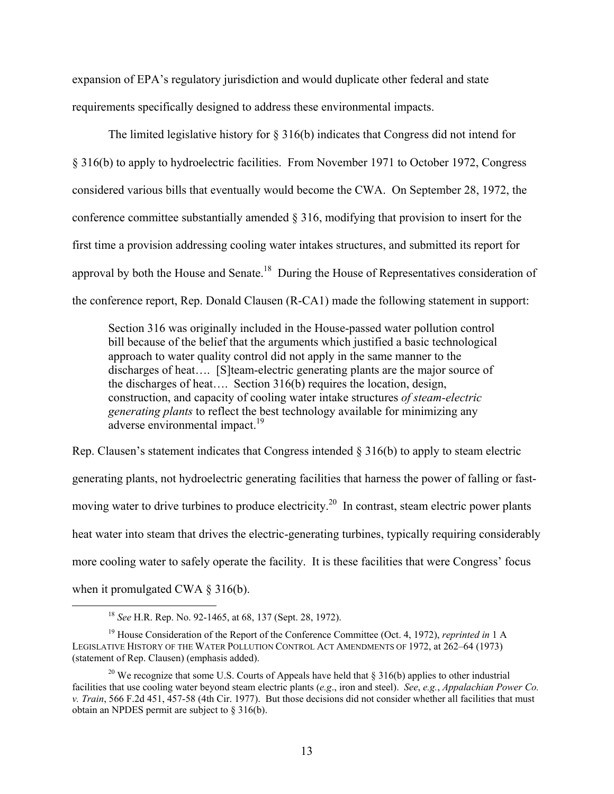expansion of EPA's regulatory jurisdiction and would duplicate other federal and state requirements specifically designed to address these environmental impacts.

The limited legislative history for § 316(b) indicates that Congress did not intend for § 316(b) to apply to hydroelectric facilities. From November 1971 to October 1972, Congress considered various bills that eventually would become the CWA. On September 28, 1972, the conference committee substantially amended § 316, modifying that provision to insert for the first time a provision addressing cooling water intakes structures, and submitted its report for approval by both the House and Senate.<sup>18</sup> During the House of Representatives consideration of the conference report, Rep. Donald Clausen (R-CA1) made the following statement in support:

Section 316 was originally included in the House-passed water pollution control bill because of the belief that the arguments which justified a basic technological approach to water quality control did not apply in the same manner to the discharges of heat…. [S]team-electric generating plants are the major source of the discharges of heat…. Section 316(b) requires the location, design, construction, and capacity of cooling water intake structures *of steam-electric generating plants* to reflect the best technology available for minimizing any adverse environmental impact.<sup>19</sup>

Rep. Clausen's statement indicates that Congress intended  $\S 316(b)$  to apply to steam electric generating plants, not hydroelectric generating facilities that harness the power of falling or fastmoving water to drive turbines to produce electricity.<sup>20</sup> In contrast, steam electric power plants heat water into steam that drives the electric-generating turbines, typically requiring considerably more cooling water to safely operate the facility. It is these facilities that were Congress' focus when it promulgated CWA § 316(b).

 <sup>18</sup> *See* H.R. Rep. No. 92-1465, at 68, 137 (Sept. 28, 1972).

<sup>19</sup> House Consideration of the Report of the Conference Committee (Oct. 4, 1972), *reprinted in* 1 A LEGISLATIVE HISTORY OF THE WATER POLLUTION CONTROL ACT AMENDMENTS OF 1972, at 262–64 (1973) (statement of Rep. Clausen) (emphasis added).

<sup>&</sup>lt;sup>20</sup> We recognize that some U.S. Courts of Appeals have held that  $\S 316(b)$  applies to other industrial facilities that use cooling water beyond steam electric plants (*e.g*., iron and steel). *See*, *e.g.*, *Appalachian Power Co. v. Train*, 566 F.2d 451, 457-58 (4th Cir. 1977). But those decisions did not consider whether all facilities that must obtain an NPDES permit are subject to § 316(b).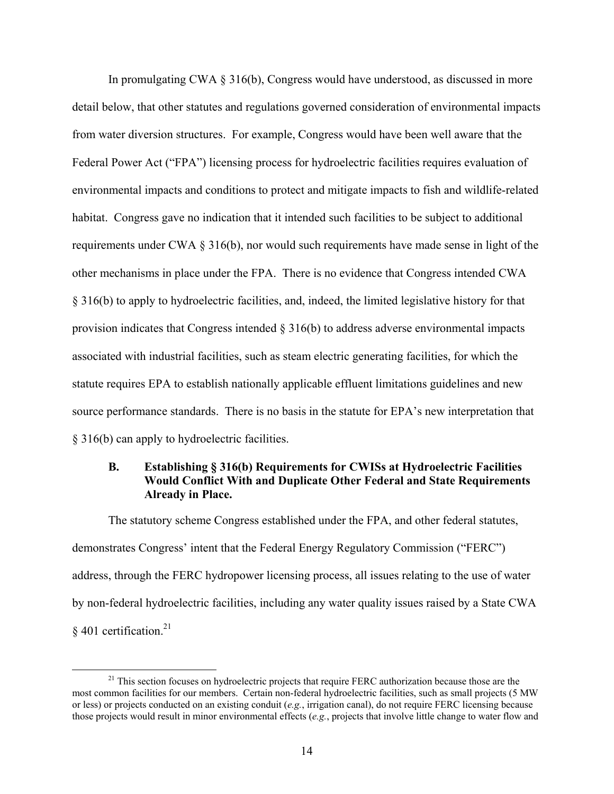In promulgating CWA § 316(b), Congress would have understood, as discussed in more detail below, that other statutes and regulations governed consideration of environmental impacts from water diversion structures. For example, Congress would have been well aware that the Federal Power Act ("FPA") licensing process for hydroelectric facilities requires evaluation of environmental impacts and conditions to protect and mitigate impacts to fish and wildlife-related habitat. Congress gave no indication that it intended such facilities to be subject to additional requirements under CWA § 316(b), nor would such requirements have made sense in light of the other mechanisms in place under the FPA. There is no evidence that Congress intended CWA § 316(b) to apply to hydroelectric facilities, and, indeed, the limited legislative history for that provision indicates that Congress intended § 316(b) to address adverse environmental impacts associated with industrial facilities, such as steam electric generating facilities, for which the statute requires EPA to establish nationally applicable effluent limitations guidelines and new source performance standards. There is no basis in the statute for EPA's new interpretation that § 316(b) can apply to hydroelectric facilities.

## **B. Establishing § 316(b) Requirements for CWISs at Hydroelectric Facilities Would Conflict With and Duplicate Other Federal and State Requirements Already in Place.**

The statutory scheme Congress established under the FPA, and other federal statutes, demonstrates Congress' intent that the Federal Energy Regulatory Commission ("FERC") address, through the FERC hydropower licensing process, all issues relating to the use of water by non-federal hydroelectric facilities, including any water quality issues raised by a State CWA  $\frac{8}{9}$  401 certification.<sup>21</sup>

 $21$  This section focuses on hydroelectric projects that require FERC authorization because those are the most common facilities for our members. Certain non-federal hydroelectric facilities, such as small projects (5 MW or less) or projects conducted on an existing conduit (*e.g.*, irrigation canal), do not require FERC licensing because those projects would result in minor environmental effects (*e.g.*, projects that involve little change to water flow and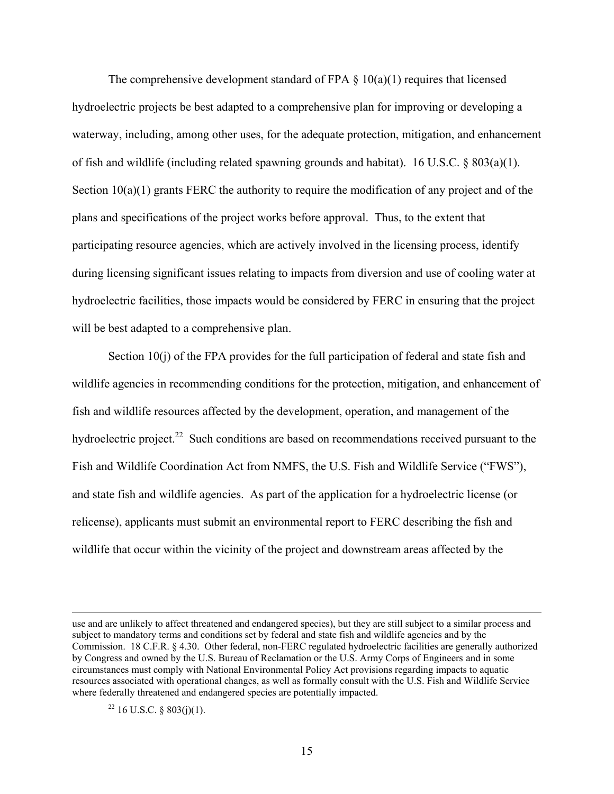The comprehensive development standard of FPA  $\S$  10(a)(1) requires that licensed hydroelectric projects be best adapted to a comprehensive plan for improving or developing a waterway, including, among other uses, for the adequate protection, mitigation, and enhancement of fish and wildlife (including related spawning grounds and habitat). 16 U.S.C. § 803(a)(1). Section 10(a)(1) grants FERC the authority to require the modification of any project and of the plans and specifications of the project works before approval. Thus, to the extent that participating resource agencies, which are actively involved in the licensing process, identify during licensing significant issues relating to impacts from diversion and use of cooling water at hydroelectric facilities, those impacts would be considered by FERC in ensuring that the project will be best adapted to a comprehensive plan.

Section 10(j) of the FPA provides for the full participation of federal and state fish and wildlife agencies in recommending conditions for the protection, mitigation, and enhancement of fish and wildlife resources affected by the development, operation, and management of the hydroelectric project.<sup>22</sup> Such conditions are based on recommendations received pursuant to the Fish and Wildlife Coordination Act from NMFS, the U.S. Fish and Wildlife Service ("FWS"), and state fish and wildlife agencies. As part of the application for a hydroelectric license (or relicense), applicants must submit an environmental report to FERC describing the fish and wildlife that occur within the vicinity of the project and downstream areas affected by the

 $22$  16 U.S.C. § 803(j)(1).

use and are unlikely to affect threatened and endangered species), but they are still subject to a similar process and subject to mandatory terms and conditions set by federal and state fish and wildlife agencies and by the Commission. 18 C.F.R. § 4.30. Other federal, non-FERC regulated hydroelectric facilities are generally authorized by Congress and owned by the U.S. Bureau of Reclamation or the U.S. Army Corps of Engineers and in some circumstances must comply with National Environmental Policy Act provisions regarding impacts to aquatic resources associated with operational changes, as well as formally consult with the U.S. Fish and Wildlife Service where federally threatened and endangered species are potentially impacted.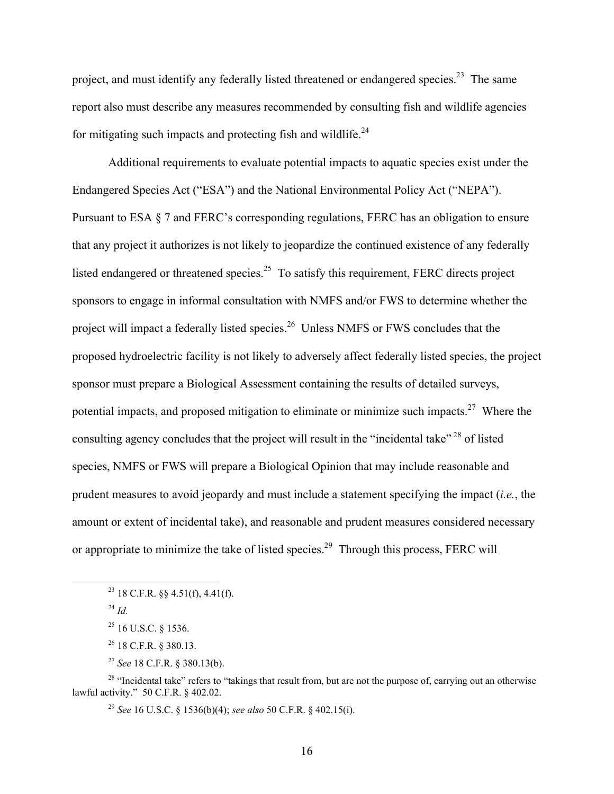project, and must identify any federally listed threatened or endangered species.<sup>23</sup> The same report also must describe any measures recommended by consulting fish and wildlife agencies for mitigating such impacts and protecting fish and wildlife.<sup>24</sup>

Additional requirements to evaluate potential impacts to aquatic species exist under the Endangered Species Act ("ESA") and the National Environmental Policy Act ("NEPA"). Pursuant to ESA § 7 and FERC's corresponding regulations, FERC has an obligation to ensure that any project it authorizes is not likely to jeopardize the continued existence of any federally listed endangered or threatened species.<sup>25</sup> To satisfy this requirement, FERC directs project sponsors to engage in informal consultation with NMFS and/or FWS to determine whether the project will impact a federally listed species.<sup>26</sup> Unless NMFS or FWS concludes that the proposed hydroelectric facility is not likely to adversely affect federally listed species, the project sponsor must prepare a Biological Assessment containing the results of detailed surveys, potential impacts, and proposed mitigation to eliminate or minimize such impacts.<sup>27</sup> Where the consulting agency concludes that the project will result in the "incidental take"<sup>28</sup> of listed species, NMFS or FWS will prepare a Biological Opinion that may include reasonable and prudent measures to avoid jeopardy and must include a statement specifying the impact (*i.e.*, the amount or extent of incidental take), and reasonable and prudent measures considered necessary or appropriate to minimize the take of listed species.<sup>29</sup> Through this process, FERC will

 <sup>23 18</sup> C.F.R. §§ 4.51(f), 4.41(f).

 $^{24}$  *Id.* 

<sup>25 16</sup> U.S.C. § 1536.

<sup>26 18</sup> C.F.R. § 380.13.

<sup>27</sup> *See* 18 C.F.R. § 380.13(b).

<sup>&</sup>lt;sup>28</sup> "Incidental take" refers to "takings that result from, but are not the purpose of, carrying out an otherwise lawful activity." 50 C.F.R. § 402.02.

<sup>29</sup> *See* 16 U.S.C. § 1536(b)(4); *see also* 50 C.F.R. § 402.15(i).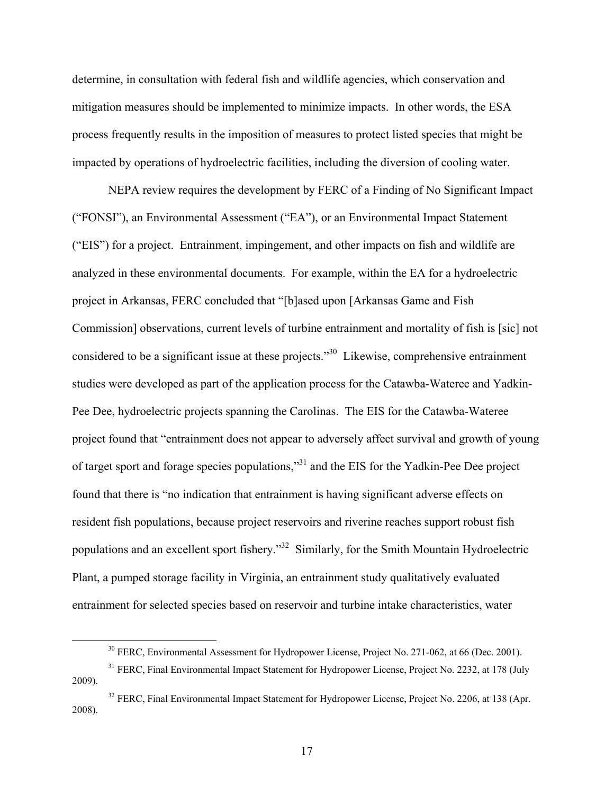determine, in consultation with federal fish and wildlife agencies, which conservation and mitigation measures should be implemented to minimize impacts. In other words, the ESA process frequently results in the imposition of measures to protect listed species that might be impacted by operations of hydroelectric facilities, including the diversion of cooling water.

NEPA review requires the development by FERC of a Finding of No Significant Impact ("FONSI"), an Environmental Assessment ("EA"), or an Environmental Impact Statement ("EIS") for a project. Entrainment, impingement, and other impacts on fish and wildlife are analyzed in these environmental documents. For example, within the EA for a hydroelectric project in Arkansas, FERC concluded that "[b]ased upon [Arkansas Game and Fish Commission] observations, current levels of turbine entrainment and mortality of fish is [sic] not considered to be a significant issue at these projects."30 Likewise, comprehensive entrainment studies were developed as part of the application process for the Catawba-Wateree and Yadkin-Pee Dee, hydroelectric projects spanning the Carolinas. The EIS for the Catawba-Wateree project found that "entrainment does not appear to adversely affect survival and growth of young of target sport and forage species populations,"31 and the EIS for the Yadkin-Pee Dee project found that there is "no indication that entrainment is having significant adverse effects on resident fish populations, because project reservoirs and riverine reaches support robust fish populations and an excellent sport fishery."32 Similarly, for the Smith Mountain Hydroelectric Plant, a pumped storage facility in Virginia, an entrainment study qualitatively evaluated entrainment for selected species based on reservoir and turbine intake characteristics, water

17

<sup>&</sup>lt;sup>30</sup> FERC, Environmental Assessment for Hydropower License, Project No. 271-062, at 66 (Dec. 2001).

<sup>&</sup>lt;sup>31</sup> FERC, Final Environmental Impact Statement for Hydropower License, Project No. 2232, at 178 (July 2009).

<sup>&</sup>lt;sup>32</sup> FERC, Final Environmental Impact Statement for Hydropower License, Project No. 2206, at 138 (Apr. 2008).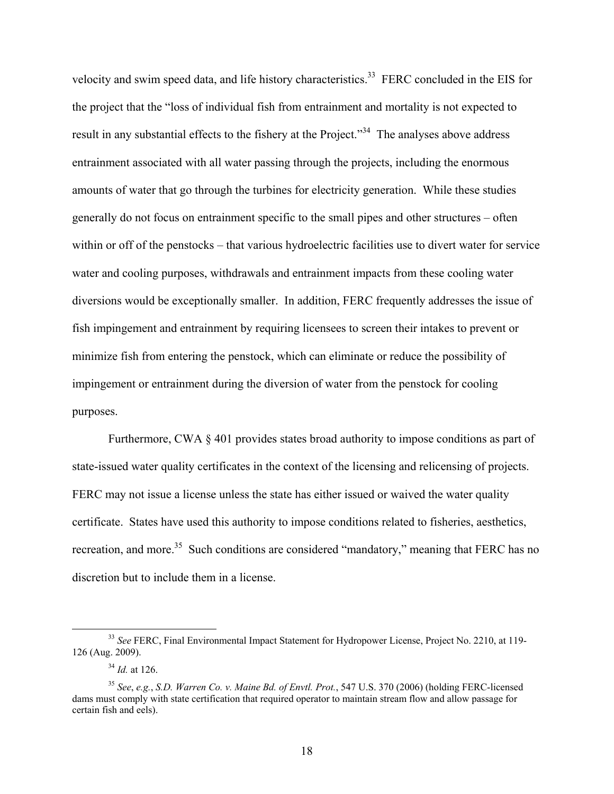velocity and swim speed data, and life history characteristics.<sup>33</sup> FERC concluded in the EIS for the project that the "loss of individual fish from entrainment and mortality is not expected to result in any substantial effects to the fishery at the Project."<sup>34</sup> The analyses above address entrainment associated with all water passing through the projects, including the enormous amounts of water that go through the turbines for electricity generation. While these studies generally do not focus on entrainment specific to the small pipes and other structures – often within or off of the penstocks – that various hydroelectric facilities use to divert water for service water and cooling purposes, withdrawals and entrainment impacts from these cooling water diversions would be exceptionally smaller. In addition, FERC frequently addresses the issue of fish impingement and entrainment by requiring licensees to screen their intakes to prevent or minimize fish from entering the penstock, which can eliminate or reduce the possibility of impingement or entrainment during the diversion of water from the penstock for cooling purposes.

Furthermore, CWA § 401 provides states broad authority to impose conditions as part of state-issued water quality certificates in the context of the licensing and relicensing of projects. FERC may not issue a license unless the state has either issued or waived the water quality certificate. States have used this authority to impose conditions related to fisheries, aesthetics, recreation, and more.<sup>35</sup> Such conditions are considered "mandatory," meaning that FERC has no discretion but to include them in a license.

 <sup>33</sup> *See* FERC, Final Environmental Impact Statement for Hydropower License, Project No. 2210, at 119- 126 (Aug. 2009).

<sup>34</sup> *Id.* at 126.

<sup>35</sup> *See*, *e.g.*, *S.D. Warren Co. v. Maine Bd. of Envtl. Prot.*, 547 U.S. 370 (2006) (holding FERC-licensed dams must comply with state certification that required operator to maintain stream flow and allow passage for certain fish and eels).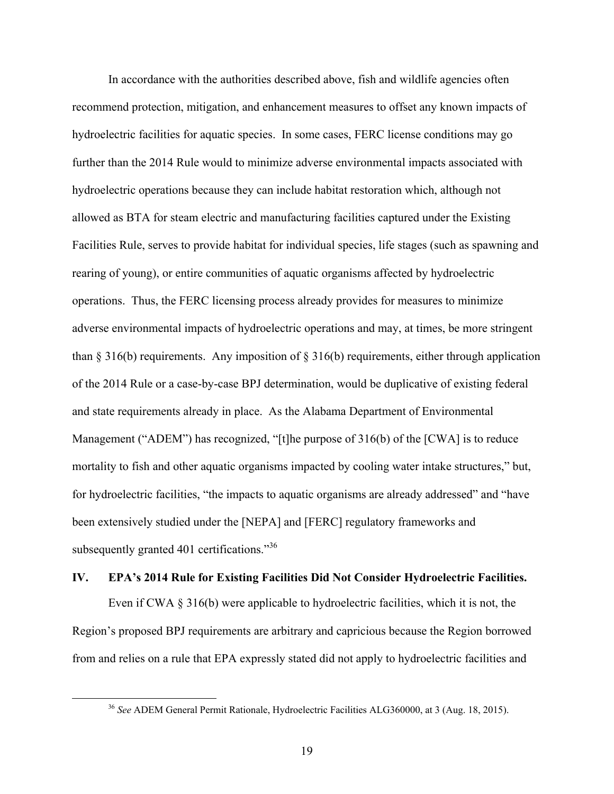In accordance with the authorities described above, fish and wildlife agencies often recommend protection, mitigation, and enhancement measures to offset any known impacts of hydroelectric facilities for aquatic species. In some cases, FERC license conditions may go further than the 2014 Rule would to minimize adverse environmental impacts associated with hydroelectric operations because they can include habitat restoration which, although not allowed as BTA for steam electric and manufacturing facilities captured under the Existing Facilities Rule, serves to provide habitat for individual species, life stages (such as spawning and rearing of young), or entire communities of aquatic organisms affected by hydroelectric operations. Thus, the FERC licensing process already provides for measures to minimize adverse environmental impacts of hydroelectric operations and may, at times, be more stringent than  $\S 316(b)$  requirements. Any imposition of  $\S 316(b)$  requirements, either through application of the 2014 Rule or a case-by-case BPJ determination, would be duplicative of existing federal and state requirements already in place. As the Alabama Department of Environmental Management ("ADEM") has recognized, "[t]he purpose of 316(b) of the [CWA] is to reduce mortality to fish and other aquatic organisms impacted by cooling water intake structures," but, for hydroelectric facilities, "the impacts to aquatic organisms are already addressed" and "have been extensively studied under the [NEPA] and [FERC] regulatory frameworks and subsequently granted 401 certifications."<sup>36</sup>

# **IV. EPA's 2014 Rule for Existing Facilities Did Not Consider Hydroelectric Facilities.**

Even if CWA § 316(b) were applicable to hydroelectric facilities, which it is not, the Region's proposed BPJ requirements are arbitrary and capricious because the Region borrowed from and relies on a rule that EPA expressly stated did not apply to hydroelectric facilities and

 <sup>36</sup> *See* ADEM General Permit Rationale, Hydroelectric Facilities ALG360000, at 3 (Aug. 18, 2015).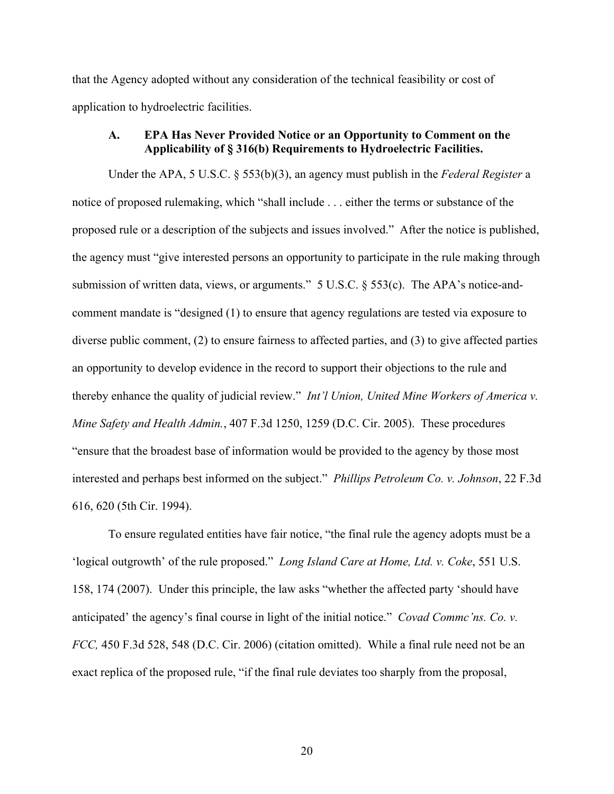that the Agency adopted without any consideration of the technical feasibility or cost of application to hydroelectric facilities.

## **A. EPA Has Never Provided Notice or an Opportunity to Comment on the Applicability of § 316(b) Requirements to Hydroelectric Facilities.**

Under the APA, 5 U.S.C. § 553(b)(3), an agency must publish in the *Federal Register* a notice of proposed rulemaking, which "shall include . . . either the terms or substance of the proposed rule or a description of the subjects and issues involved." After the notice is published, the agency must "give interested persons an opportunity to participate in the rule making through submission of written data, views, or arguments." 5 U.S.C. § 553(c). The APA's notice-andcomment mandate is "designed (1) to ensure that agency regulations are tested via exposure to diverse public comment, (2) to ensure fairness to affected parties, and (3) to give affected parties an opportunity to develop evidence in the record to support their objections to the rule and thereby enhance the quality of judicial review." *Int'l Union, United Mine Workers of America v. Mine Safety and Health Admin.*, 407 F.3d 1250, 1259 (D.C. Cir. 2005). These procedures "ensure that the broadest base of information would be provided to the agency by those most interested and perhaps best informed on the subject." *Phillips Petroleum Co. v. Johnson*, 22 F.3d 616, 620 (5th Cir. 1994).

To ensure regulated entities have fair notice, "the final rule the agency adopts must be a 'logical outgrowth' of the rule proposed." *Long Island Care at Home, Ltd. v. Coke*, 551 U.S. 158, 174 (2007). Under this principle, the law asks "whether the affected party 'should have anticipated' the agency's final course in light of the initial notice." *Covad Commc'ns. Co. v. FCC,* 450 F.3d 528, 548 (D.C. Cir. 2006) (citation omitted). While a final rule need not be an exact replica of the proposed rule, "if the final rule deviates too sharply from the proposal,

20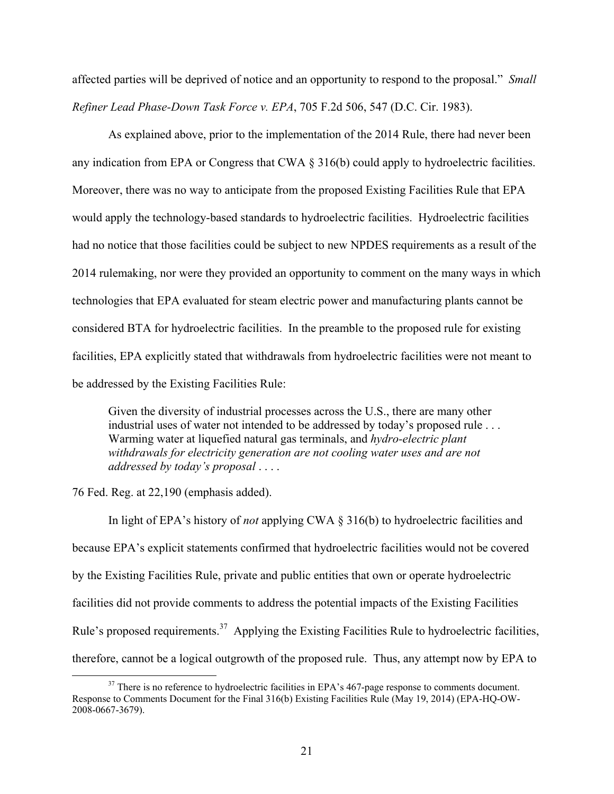affected parties will be deprived of notice and an opportunity to respond to the proposal." *Small Refiner Lead Phase-Down Task Force v. EPA*, 705 F.2d 506, 547 (D.C. Cir. 1983).

As explained above, prior to the implementation of the 2014 Rule, there had never been any indication from EPA or Congress that CWA § 316(b) could apply to hydroelectric facilities. Moreover, there was no way to anticipate from the proposed Existing Facilities Rule that EPA would apply the technology-based standards to hydroelectric facilities. Hydroelectric facilities had no notice that those facilities could be subject to new NPDES requirements as a result of the 2014 rulemaking, nor were they provided an opportunity to comment on the many ways in which technologies that EPA evaluated for steam electric power and manufacturing plants cannot be considered BTA for hydroelectric facilities. In the preamble to the proposed rule for existing facilities, EPA explicitly stated that withdrawals from hydroelectric facilities were not meant to be addressed by the Existing Facilities Rule:

Given the diversity of industrial processes across the U.S., there are many other industrial uses of water not intended to be addressed by today's proposed rule . . . Warming water at liquefied natural gas terminals, and *hydro-electric plant withdrawals for electricity generation are not cooling water uses and are not addressed by today's proposal* . . . .

76 Fed. Reg. at 22,190 (emphasis added).

In light of EPA's history of *not* applying CWA § 316(b) to hydroelectric facilities and because EPA's explicit statements confirmed that hydroelectric facilities would not be covered by the Existing Facilities Rule, private and public entities that own or operate hydroelectric facilities did not provide comments to address the potential impacts of the Existing Facilities Rule's proposed requirements.<sup>37</sup> Applying the Existing Facilities Rule to hydroelectric facilities, therefore, cannot be a logical outgrowth of the proposed rule. Thus, any attempt now by EPA to

<sup>&</sup>lt;sup>37</sup> There is no reference to hydroelectric facilities in EPA's 467-page response to comments document. Response to Comments Document for the Final 316(b) Existing Facilities Rule (May 19, 2014) (EPA-HQ-OW-2008-0667-3679).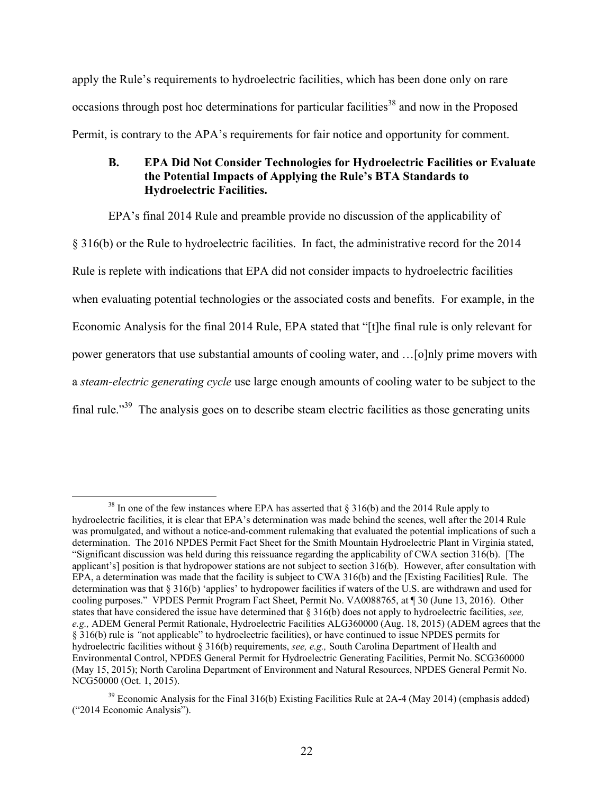apply the Rule's requirements to hydroelectric facilities, which has been done only on rare occasions through post hoc determinations for particular facilities<sup>38</sup> and now in the Proposed Permit, is contrary to the APA's requirements for fair notice and opportunity for comment.

## **B. EPA Did Not Consider Technologies for Hydroelectric Facilities or Evaluate the Potential Impacts of Applying the Rule's BTA Standards to Hydroelectric Facilities.**

EPA's final 2014 Rule and preamble provide no discussion of the applicability of

§ 316(b) or the Rule to hydroelectric facilities. In fact, the administrative record for the 2014 Rule is replete with indications that EPA did not consider impacts to hydroelectric facilities when evaluating potential technologies or the associated costs and benefits. For example, in the Economic Analysis for the final 2014 Rule, EPA stated that "[t]he final rule is only relevant for power generators that use substantial amounts of cooling water, and …[o]nly prime movers with a *steam-electric generating cycle* use large enough amounts of cooling water to be subject to the final rule."<sup>39</sup> The analysis goes on to describe steam electric facilities as those generating units

<sup>&</sup>lt;sup>38</sup> In one of the few instances where EPA has asserted that § 316(b) and the 2014 Rule apply to hydroelectric facilities, it is clear that EPA's determination was made behind the scenes, well after the 2014 Rule was promulgated, and without a notice-and-comment rulemaking that evaluated the potential implications of such a determination. The 2016 NPDES Permit Fact Sheet for the Smith Mountain Hydroelectric Plant in Virginia stated, "Significant discussion was held during this reissuance regarding the applicability of CWA section 316(b). [The applicant's] position is that hydropower stations are not subject to section 316(b). However, after consultation with EPA, a determination was made that the facility is subject to CWA 316(b) and the [Existing Facilities] Rule. The determination was that § 316(b) 'applies' to hydropower facilities if waters of the U.S. are withdrawn and used for cooling purposes." VPDES Permit Program Fact Sheet, Permit No. VA0088765, at ¶ 30 (June 13, 2016). Other states that have considered the issue have determined that § 316(b) does not apply to hydroelectric facilities, *see, e.g.,* ADEM General Permit Rationale, Hydroelectric Facilities ALG360000 (Aug. 18, 2015) (ADEM agrees that the § 316(b) rule is *"*not applicable" to hydroelectric facilities), or have continued to issue NPDES permits for hydroelectric facilities without § 316(b) requirements, *see, e.g.,* South Carolina Department of Health and Environmental Control, NPDES General Permit for Hydroelectric Generating Facilities, Permit No. SCG360000 (May 15, 2015); North Carolina Department of Environment and Natural Resources, NPDES General Permit No. NCG50000 (Oct. 1, 2015).

 $39$  Economic Analysis for the Final 316(b) Existing Facilities Rule at 2A-4 (May 2014) (emphasis added) ("2014 Economic Analysis").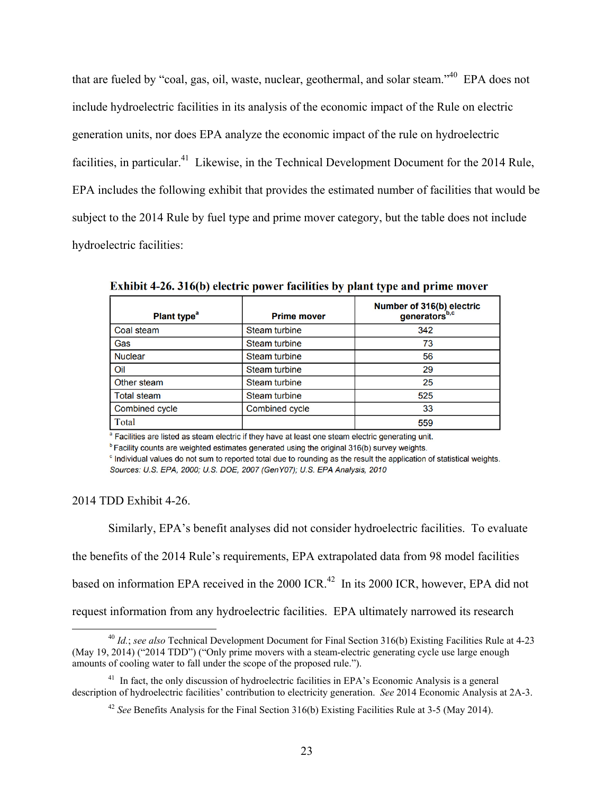that are fueled by "coal, gas, oil, waste, nuclear, geothermal, and solar steam."40 EPA does not include hydroelectric facilities in its analysis of the economic impact of the Rule on electric generation units, nor does EPA analyze the economic impact of the rule on hydroelectric facilities, in particular.<sup>41</sup> Likewise, in the Technical Development Document for the 2014 Rule, EPA includes the following exhibit that provides the estimated number of facilities that would be subject to the 2014 Rule by fuel type and prime mover category, but the table does not include hydroelectric facilities:

| Plant type <sup>a</sup> | <b>Prime mover</b>    | Number of 316(b) electric<br>generators <sup>b,c</sup> |
|-------------------------|-----------------------|--------------------------------------------------------|
| Coal steam              | <b>Steam turbine</b>  | 342                                                    |
| Gas                     | <b>Steam turbine</b>  | 73                                                     |
| <b>Nuclear</b>          | <b>Steam turbine</b>  | 56                                                     |
| Oil                     | <b>Steam turbine</b>  | 29                                                     |
| Other steam             | <b>Steam turbine</b>  | 25                                                     |
| <b>Total steam</b>      | <b>Steam turbine</b>  | 525                                                    |
| <b>Combined cycle</b>   | <b>Combined cycle</b> | 33                                                     |
| Total                   |                       | 559                                                    |

Exhibit 4-26, 316(b) electric power facilities by plant type and prime mover

<sup>a</sup> Facilities are listed as steam electric if they have at least one steam electric generating unit.

<sup>b</sup> Facility counts are weighted estimates generated using the original 316(b) survey weights.

° Individual values do not sum to reported total due to rounding as the result the application of statistical weights. Sources: U.S. EPA, 2000; U.S. DOE, 2007 (GenY07); U.S. EPA Analysis, 2010

2014 TDD Exhibit 4-26.

Similarly, EPA's benefit analyses did not consider hydroelectric facilities. To evaluate

the benefits of the 2014 Rule's requirements, EPA extrapolated data from 98 model facilities

based on information EPA received in the 2000 ICR.<sup>42</sup> In its 2000 ICR, however, EPA did not

request information from any hydroelectric facilities. EPA ultimately narrowed its research

 <sup>40</sup> *Id.*; *see also* Technical Development Document for Final Section 316(b) Existing Facilities Rule at 4-23 (May 19, 2014) ("2014 TDD") ("Only prime movers with a steam-electric generating cycle use large enough amounts of cooling water to fall under the scope of the proposed rule.").

<sup>&</sup>lt;sup>41</sup> In fact, the only discussion of hydroelectric facilities in EPA's Economic Analysis is a general description of hydroelectric facilities' contribution to electricity generation. *See* 2014 Economic Analysis at 2A-3.

<sup>42</sup> *See* Benefits Analysis for the Final Section 316(b) Existing Facilities Rule at 3-5 (May 2014).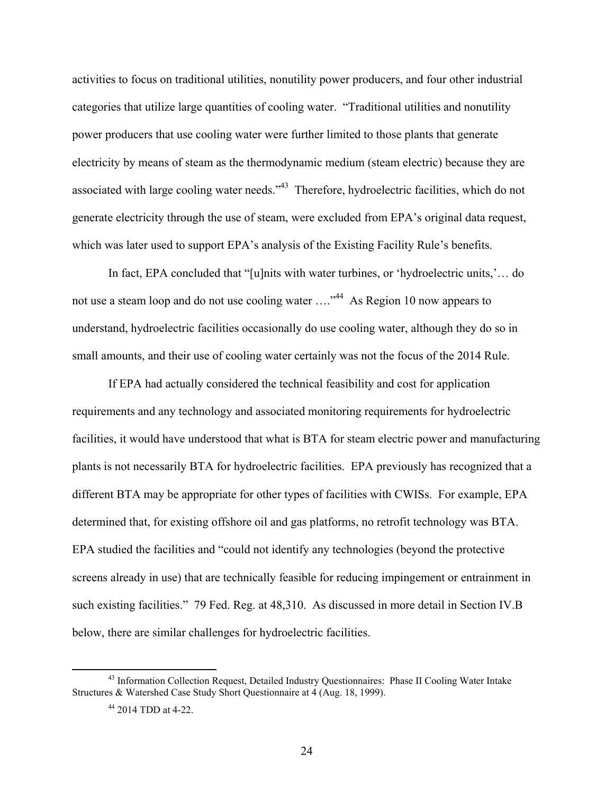activities to focus on traditional utilities, nonutility power producers, and four other industrial categories that utilize large quantities of cooling water. "Traditional utilities and nonutility power producers that use cooling water were further limited to those plants that generate electricity by means of steam as the thermodynamic medium (steam electric) because they are associated with large cooling water needs."<sup>43</sup> Therefore, hydroelectric facilities, which do not generate electricity through the use of steam, were excluded from EPA's original data request, which was later used to support EPA's analysis of the Existing Facility Rule's benefits.

In fact, EPA concluded that "[u]nits with water turbines, or 'hydroelectric units,'… do not use a steam loop and do not use cooling water ...."<sup>44</sup> As Region 10 now appears to understand, hydroelectric facilities occasionally do use cooling water, although they do so in small amounts, and their use of cooling water certainly was not the focus of the 2014 Rule.

If EPA had actually considered the technical feasibility and cost for application requirements and any technology and associated monitoring requirements for hydroelectric facilities, it would have understood that what is BTA for steam electric power and manufacturing plants is not necessarily BTA for hydroelectric facilities. EPA previously has recognized that a different BTA may be appropriate for other types of facilities with CWISs. For example, EPA determined that, for existing offshore oil and gas platforms, no retrofit technology was BTA. EPA studied the facilities and "could not identify any technologies (beyond the protective screens already in use) that are technically feasible for reducing impingement or entrainment in such existing facilities." 79 Fed. Reg. at 48,310. As discussed in more detail in Section IV.B below, there are similar challenges for hydroelectric facilities.

<sup>&</sup>lt;sup>43</sup> Information Collection Request, Detailed Industry Questionnaires: Phase II Cooling Water Intake Structures & Watershed Case Study Short Questionnaire at 4 (Aug. 18, 1999).

<sup>44 2014</sup> TDD at 4-22.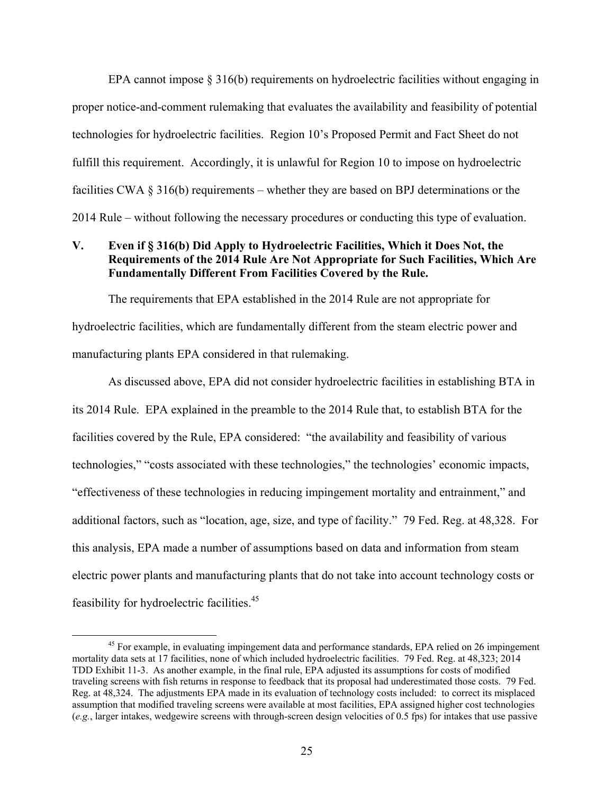EPA cannot impose § 316(b) requirements on hydroelectric facilities without engaging in proper notice-and-comment rulemaking that evaluates the availability and feasibility of potential technologies for hydroelectric facilities. Region 10's Proposed Permit and Fact Sheet do not fulfill this requirement. Accordingly, it is unlawful for Region 10 to impose on hydroelectric facilities CWA § 316(b) requirements – whether they are based on BPJ determinations or the 2014 Rule – without following the necessary procedures or conducting this type of evaluation.

#### **V. Even if § 316(b) Did Apply to Hydroelectric Facilities, Which it Does Not, the Requirements of the 2014 Rule Are Not Appropriate for Such Facilities, Which Are Fundamentally Different From Facilities Covered by the Rule.**

The requirements that EPA established in the 2014 Rule are not appropriate for hydroelectric facilities, which are fundamentally different from the steam electric power and manufacturing plants EPA considered in that rulemaking.

As discussed above, EPA did not consider hydroelectric facilities in establishing BTA in its 2014 Rule. EPA explained in the preamble to the 2014 Rule that, to establish BTA for the facilities covered by the Rule, EPA considered: "the availability and feasibility of various technologies," "costs associated with these technologies," the technologies' economic impacts, "effectiveness of these technologies in reducing impingement mortality and entrainment," and additional factors, such as "location, age, size, and type of facility." 79 Fed. Reg. at 48,328. For this analysis, EPA made a number of assumptions based on data and information from steam electric power plants and manufacturing plants that do not take into account technology costs or feasibility for hydroelectric facilities.45

<sup>&</sup>lt;sup>45</sup> For example, in evaluating impingement data and performance standards, EPA relied on 26 impingement mortality data sets at 17 facilities, none of which included hydroelectric facilities. 79 Fed. Reg. at 48,323; 2014 TDD Exhibit 11-3. As another example, in the final rule, EPA adjusted its assumptions for costs of modified traveling screens with fish returns in response to feedback that its proposal had underestimated those costs. 79 Fed. Reg. at 48,324. The adjustments EPA made in its evaluation of technology costs included: to correct its misplaced assumption that modified traveling screens were available at most facilities, EPA assigned higher cost technologies (*e.g.*, larger intakes, wedgewire screens with through-screen design velocities of 0.5 fps) for intakes that use passive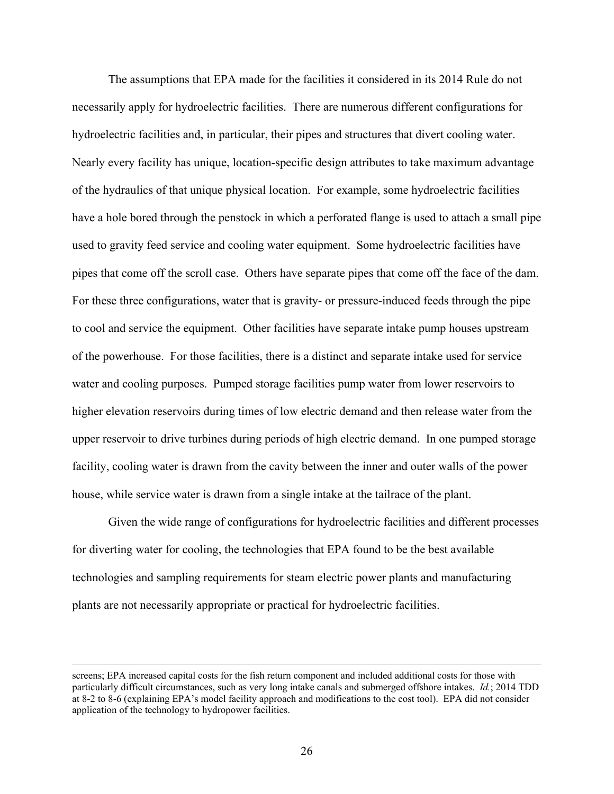The assumptions that EPA made for the facilities it considered in its 2014 Rule do not necessarily apply for hydroelectric facilities. There are numerous different configurations for hydroelectric facilities and, in particular, their pipes and structures that divert cooling water. Nearly every facility has unique, location-specific design attributes to take maximum advantage of the hydraulics of that unique physical location. For example, some hydroelectric facilities have a hole bored through the penstock in which a perforated flange is used to attach a small pipe used to gravity feed service and cooling water equipment. Some hydroelectric facilities have pipes that come off the scroll case. Others have separate pipes that come off the face of the dam. For these three configurations, water that is gravity- or pressure-induced feeds through the pipe to cool and service the equipment. Other facilities have separate intake pump houses upstream of the powerhouse. For those facilities, there is a distinct and separate intake used for service water and cooling purposes. Pumped storage facilities pump water from lower reservoirs to higher elevation reservoirs during times of low electric demand and then release water from the upper reservoir to drive turbines during periods of high electric demand. In one pumped storage facility, cooling water is drawn from the cavity between the inner and outer walls of the power house, while service water is drawn from a single intake at the tailrace of the plant.

Given the wide range of configurations for hydroelectric facilities and different processes for diverting water for cooling, the technologies that EPA found to be the best available technologies and sampling requirements for steam electric power plants and manufacturing plants are not necessarily appropriate or practical for hydroelectric facilities.

screens; EPA increased capital costs for the fish return component and included additional costs for those with particularly difficult circumstances, such as very long intake canals and submerged offshore intakes. *Id.*; 2014 TDD at 8-2 to 8-6 (explaining EPA's model facility approach and modifications to the cost tool). EPA did not consider application of the technology to hydropower facilities.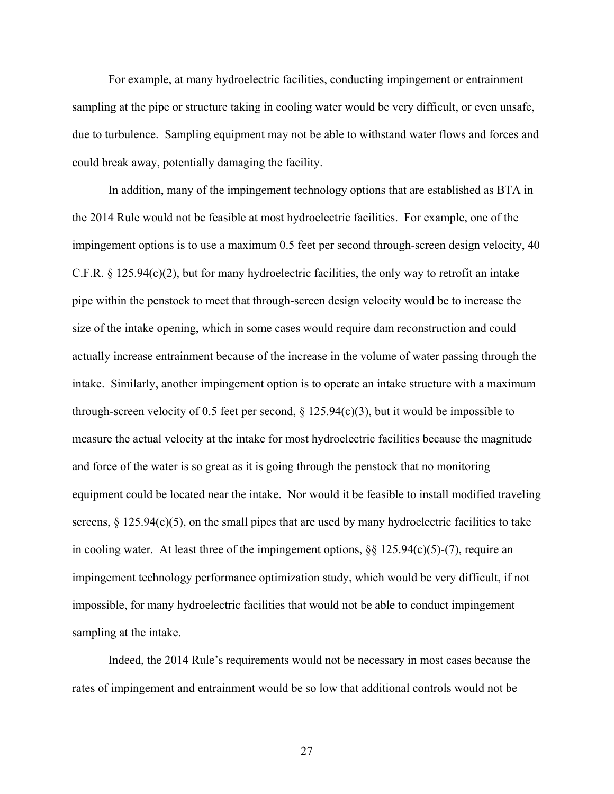For example, at many hydroelectric facilities, conducting impingement or entrainment sampling at the pipe or structure taking in cooling water would be very difficult, or even unsafe, due to turbulence. Sampling equipment may not be able to withstand water flows and forces and could break away, potentially damaging the facility.

In addition, many of the impingement technology options that are established as BTA in the 2014 Rule would not be feasible at most hydroelectric facilities. For example, one of the impingement options is to use a maximum 0.5 feet per second through-screen design velocity, 40 C.F.R. § 125.94(c)(2), but for many hydroelectric facilities, the only way to retrofit an intake pipe within the penstock to meet that through-screen design velocity would be to increase the size of the intake opening, which in some cases would require dam reconstruction and could actually increase entrainment because of the increase in the volume of water passing through the intake. Similarly, another impingement option is to operate an intake structure with a maximum through-screen velocity of 0.5 feet per second,  $\S$  125.94(c)(3), but it would be impossible to measure the actual velocity at the intake for most hydroelectric facilities because the magnitude and force of the water is so great as it is going through the penstock that no monitoring equipment could be located near the intake. Nor would it be feasible to install modified traveling screens,  $\S$  125.94(c)(5), on the small pipes that are used by many hydroelectric facilities to take in cooling water. At least three of the impingement options, §§ 125.94(c)(5)-(7), require an impingement technology performance optimization study, which would be very difficult, if not impossible, for many hydroelectric facilities that would not be able to conduct impingement sampling at the intake.

Indeed, the 2014 Rule's requirements would not be necessary in most cases because the rates of impingement and entrainment would be so low that additional controls would not be

27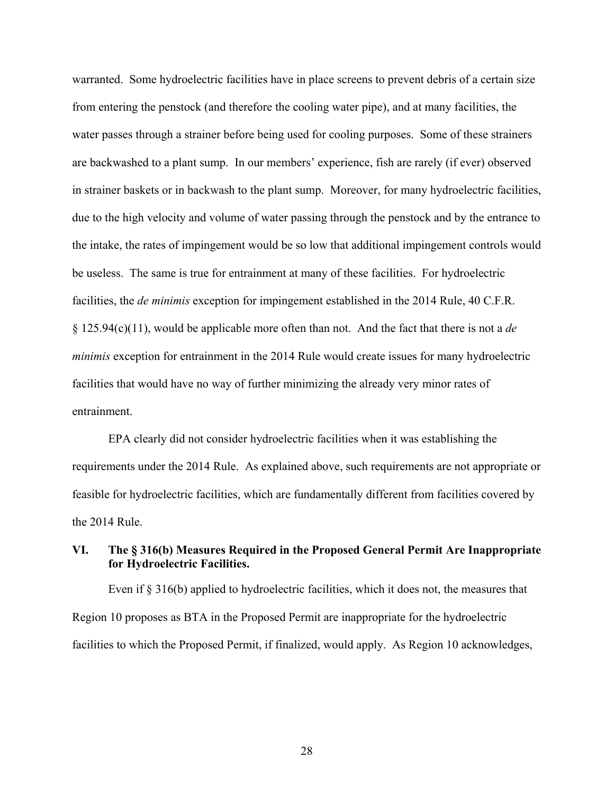warranted. Some hydroelectric facilities have in place screens to prevent debris of a certain size from entering the penstock (and therefore the cooling water pipe), and at many facilities, the water passes through a strainer before being used for cooling purposes. Some of these strainers are backwashed to a plant sump. In our members' experience, fish are rarely (if ever) observed in strainer baskets or in backwash to the plant sump. Moreover, for many hydroelectric facilities, due to the high velocity and volume of water passing through the penstock and by the entrance to the intake, the rates of impingement would be so low that additional impingement controls would be useless. The same is true for entrainment at many of these facilities. For hydroelectric facilities, the *de minimis* exception for impingement established in the 2014 Rule, 40 C.F.R. § 125.94(c)(11), would be applicable more often than not. And the fact that there is not a *de minimis* exception for entrainment in the 2014 Rule would create issues for many hydroelectric facilities that would have no way of further minimizing the already very minor rates of entrainment.

EPA clearly did not consider hydroelectric facilities when it was establishing the requirements under the 2014 Rule. As explained above, such requirements are not appropriate or feasible for hydroelectric facilities, which are fundamentally different from facilities covered by the 2014 Rule.

## **VI. The § 316(b) Measures Required in the Proposed General Permit Are Inappropriate for Hydroelectric Facilities.**

Even if § 316(b) applied to hydroelectric facilities, which it does not, the measures that Region 10 proposes as BTA in the Proposed Permit are inappropriate for the hydroelectric facilities to which the Proposed Permit, if finalized, would apply. As Region 10 acknowledges,

28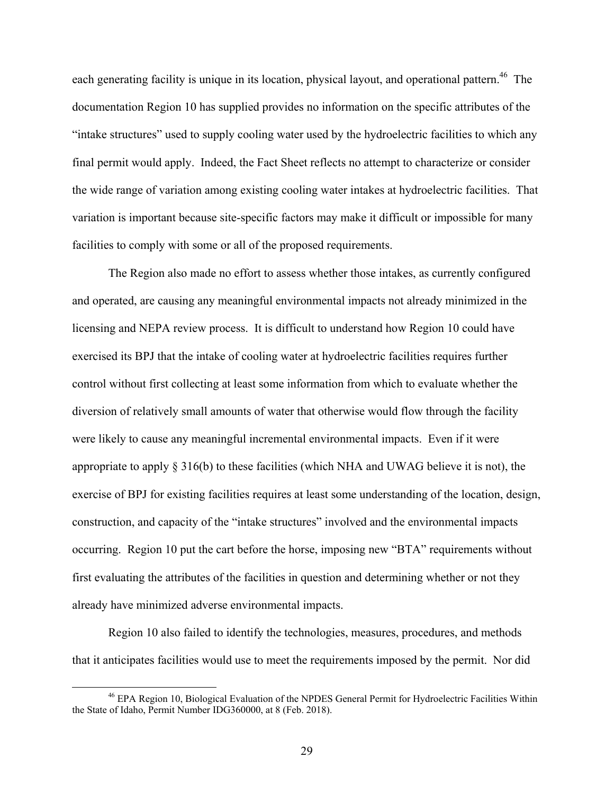each generating facility is unique in its location, physical layout, and operational pattern.<sup>46</sup> The documentation Region 10 has supplied provides no information on the specific attributes of the "intake structures" used to supply cooling water used by the hydroelectric facilities to which any final permit would apply. Indeed, the Fact Sheet reflects no attempt to characterize or consider the wide range of variation among existing cooling water intakes at hydroelectric facilities. That variation is important because site-specific factors may make it difficult or impossible for many facilities to comply with some or all of the proposed requirements.

The Region also made no effort to assess whether those intakes, as currently configured and operated, are causing any meaningful environmental impacts not already minimized in the licensing and NEPA review process. It is difficult to understand how Region 10 could have exercised its BPJ that the intake of cooling water at hydroelectric facilities requires further control without first collecting at least some information from which to evaluate whether the diversion of relatively small amounts of water that otherwise would flow through the facility were likely to cause any meaningful incremental environmental impacts. Even if it were appropriate to apply § 316(b) to these facilities (which NHA and UWAG believe it is not), the exercise of BPJ for existing facilities requires at least some understanding of the location, design, construction, and capacity of the "intake structures" involved and the environmental impacts occurring. Region 10 put the cart before the horse, imposing new "BTA" requirements without first evaluating the attributes of the facilities in question and determining whether or not they already have minimized adverse environmental impacts.

Region 10 also failed to identify the technologies, measures, procedures, and methods that it anticipates facilities would use to meet the requirements imposed by the permit. Nor did

 <sup>46</sup> EPA Region 10, Biological Evaluation of the NPDES General Permit for Hydroelectric Facilities Within the State of Idaho, Permit Number IDG360000, at 8 (Feb. 2018).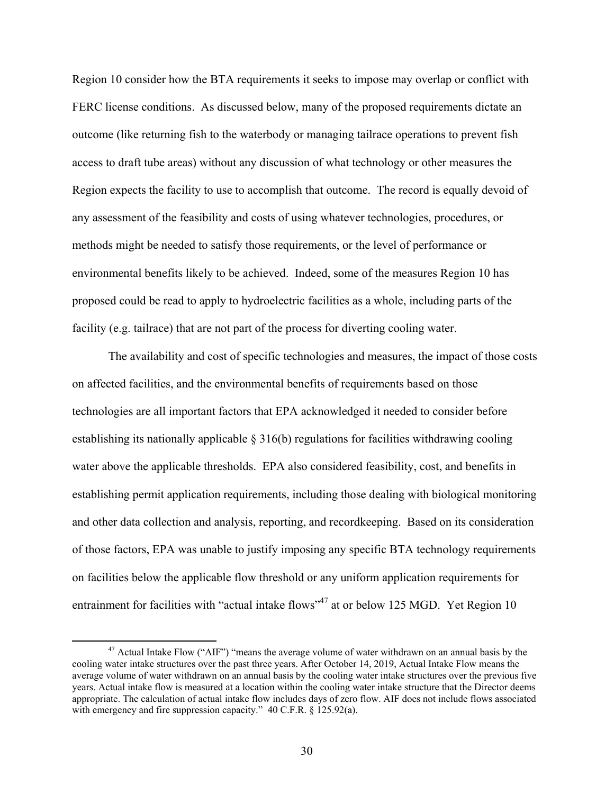Region 10 consider how the BTA requirements it seeks to impose may overlap or conflict with FERC license conditions. As discussed below, many of the proposed requirements dictate an outcome (like returning fish to the waterbody or managing tailrace operations to prevent fish access to draft tube areas) without any discussion of what technology or other measures the Region expects the facility to use to accomplish that outcome. The record is equally devoid of any assessment of the feasibility and costs of using whatever technologies, procedures, or methods might be needed to satisfy those requirements, or the level of performance or environmental benefits likely to be achieved. Indeed, some of the measures Region 10 has proposed could be read to apply to hydroelectric facilities as a whole, including parts of the facility (e.g. tailrace) that are not part of the process for diverting cooling water.

The availability and cost of specific technologies and measures, the impact of those costs on affected facilities, and the environmental benefits of requirements based on those technologies are all important factors that EPA acknowledged it needed to consider before establishing its nationally applicable § 316(b) regulations for facilities withdrawing cooling water above the applicable thresholds. EPA also considered feasibility, cost, and benefits in establishing permit application requirements, including those dealing with biological monitoring and other data collection and analysis, reporting, and recordkeeping. Based on its consideration of those factors, EPA was unable to justify imposing any specific BTA technology requirements on facilities below the applicable flow threshold or any uniform application requirements for entrainment for facilities with "actual intake flows"<sup>47</sup> at or below 125 MGD. Yet Region 10

<sup>&</sup>lt;sup>47</sup> Actual Intake Flow ("AIF") "means the average volume of water withdrawn on an annual basis by the cooling water intake structures over the past three years. After October 14, 2019, Actual Intake Flow means the average volume of water withdrawn on an annual basis by the cooling water intake structures over the previous five years. Actual intake flow is measured at a location within the cooling water intake structure that the Director deems appropriate. The calculation of actual intake flow includes days of zero flow. AIF does not include flows associated with emergency and fire suppression capacity." 40 C.F.R. § 125.92(a).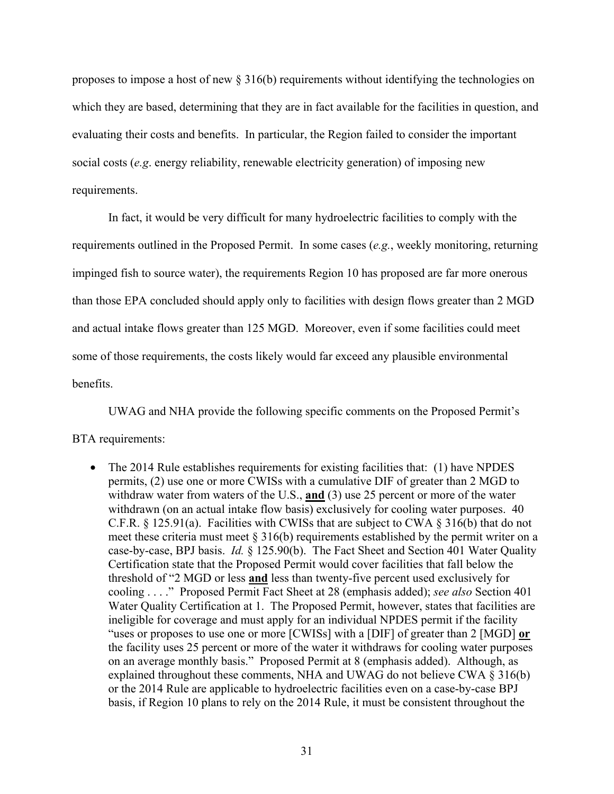proposes to impose a host of new § 316(b) requirements without identifying the technologies on which they are based, determining that they are in fact available for the facilities in question, and evaluating their costs and benefits. In particular, the Region failed to consider the important social costs (*e.g*. energy reliability, renewable electricity generation) of imposing new requirements.

In fact, it would be very difficult for many hydroelectric facilities to comply with the requirements outlined in the Proposed Permit. In some cases (*e.g.*, weekly monitoring, returning impinged fish to source water), the requirements Region 10 has proposed are far more onerous than those EPA concluded should apply only to facilities with design flows greater than 2 MGD and actual intake flows greater than 125 MGD. Moreover, even if some facilities could meet some of those requirements, the costs likely would far exceed any plausible environmental benefits.

UWAG and NHA provide the following specific comments on the Proposed Permit's

# BTA requirements:

• The 2014 Rule establishes requirements for existing facilities that: (1) have NPDES permits, (2) use one or more CWISs with a cumulative DIF of greater than 2 MGD to withdraw water from waters of the U.S., **and** (3) use 25 percent or more of the water withdrawn (on an actual intake flow basis) exclusively for cooling water purposes. 40 C.F.R. § 125.91(a). Facilities with CWISs that are subject to CWA § 316(b) that do not meet these criteria must meet  $\S 316(b)$  requirements established by the permit writer on a case-by-case, BPJ basis. *Id.* § 125.90(b). The Fact Sheet and Section 401 Water Quality Certification state that the Proposed Permit would cover facilities that fall below the threshold of "2 MGD or less **and** less than twenty-five percent used exclusively for cooling . . . ." Proposed Permit Fact Sheet at 28 (emphasis added); *see also* Section 401 Water Quality Certification at 1. The Proposed Permit, however, states that facilities are ineligible for coverage and must apply for an individual NPDES permit if the facility "uses or proposes to use one or more [CWISs] with a [DIF] of greater than 2 [MGD] **or** the facility uses 25 percent or more of the water it withdraws for cooling water purposes on an average monthly basis." Proposed Permit at 8 (emphasis added). Although, as explained throughout these comments, NHA and UWAG do not believe CWA  $\S$  316(b) or the 2014 Rule are applicable to hydroelectric facilities even on a case-by-case BPJ basis, if Region 10 plans to rely on the 2014 Rule, it must be consistent throughout the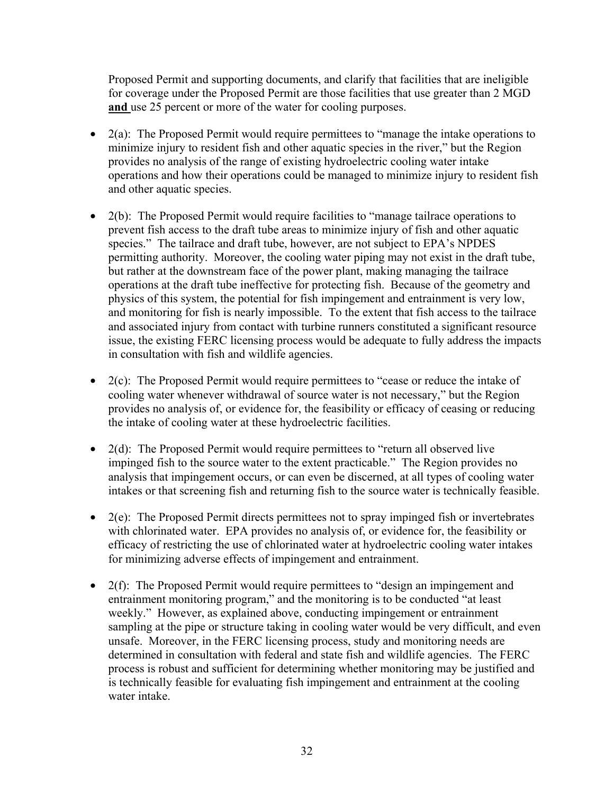Proposed Permit and supporting documents, and clarify that facilities that are ineligible for coverage under the Proposed Permit are those facilities that use greater than 2 MGD **and** use 25 percent or more of the water for cooling purposes.

- 2(a): The Proposed Permit would require permittees to "manage the intake operations to minimize injury to resident fish and other aquatic species in the river," but the Region provides no analysis of the range of existing hydroelectric cooling water intake operations and how their operations could be managed to minimize injury to resident fish and other aquatic species.
- 2(b): The Proposed Permit would require facilities to "manage tailrace operations to prevent fish access to the draft tube areas to minimize injury of fish and other aquatic species." The tailrace and draft tube, however, are not subject to EPA's NPDES permitting authority. Moreover, the cooling water piping may not exist in the draft tube, but rather at the downstream face of the power plant, making managing the tailrace operations at the draft tube ineffective for protecting fish. Because of the geometry and physics of this system, the potential for fish impingement and entrainment is very low, and monitoring for fish is nearly impossible. To the extent that fish access to the tailrace and associated injury from contact with turbine runners constituted a significant resource issue, the existing FERC licensing process would be adequate to fully address the impacts in consultation with fish and wildlife agencies.
- 2(c): The Proposed Permit would require permittees to "cease or reduce the intake of cooling water whenever withdrawal of source water is not necessary," but the Region provides no analysis of, or evidence for, the feasibility or efficacy of ceasing or reducing the intake of cooling water at these hydroelectric facilities.
- 2(d): The Proposed Permit would require permittees to "return all observed live impinged fish to the source water to the extent practicable." The Region provides no analysis that impingement occurs, or can even be discerned, at all types of cooling water intakes or that screening fish and returning fish to the source water is technically feasible.
- 2(e): The Proposed Permit directs permittees not to spray impinged fish or invertebrates with chlorinated water. EPA provides no analysis of, or evidence for, the feasibility or efficacy of restricting the use of chlorinated water at hydroelectric cooling water intakes for minimizing adverse effects of impingement and entrainment.
- 2(f): The Proposed Permit would require permittees to "design an impingement and entrainment monitoring program," and the monitoring is to be conducted "at least weekly." However, as explained above, conducting impingement or entrainment sampling at the pipe or structure taking in cooling water would be very difficult, and even unsafe. Moreover, in the FERC licensing process, study and monitoring needs are determined in consultation with federal and state fish and wildlife agencies. The FERC process is robust and sufficient for determining whether monitoring may be justified and is technically feasible for evaluating fish impingement and entrainment at the cooling water intake.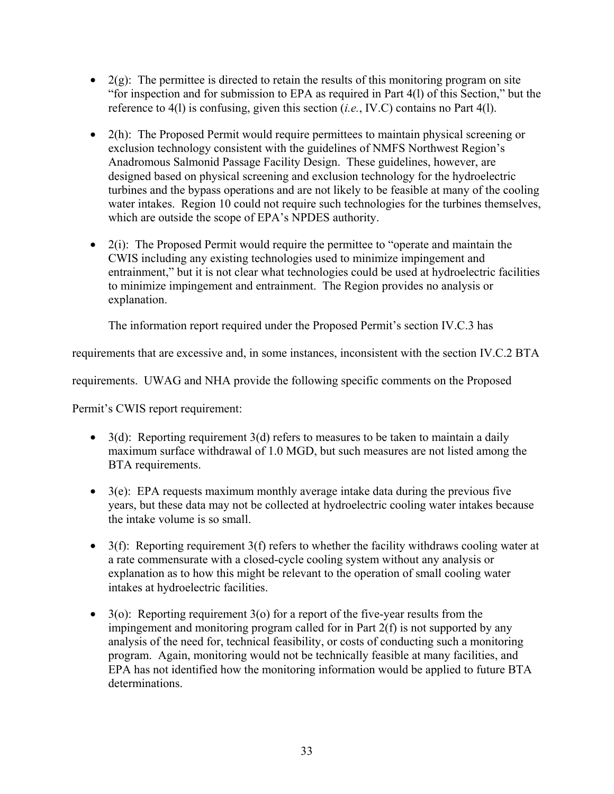- $2(g)$ : The permittee is directed to retain the results of this monitoring program on site "for inspection and for submission to EPA as required in Part 4(l) of this Section," but the reference to 4(l) is confusing, given this section (*i.e.*, IV.C) contains no Part 4(l).
- 2(h): The Proposed Permit would require permittees to maintain physical screening or exclusion technology consistent with the guidelines of NMFS Northwest Region's Anadromous Salmonid Passage Facility Design. These guidelines, however, are designed based on physical screening and exclusion technology for the hydroelectric turbines and the bypass operations and are not likely to be feasible at many of the cooling water intakes. Region 10 could not require such technologies for the turbines themselves, which are outside the scope of EPA's NPDES authority.
- $\bullet$  2(i): The Proposed Permit would require the permittee to "operate and maintain the CWIS including any existing technologies used to minimize impingement and entrainment," but it is not clear what technologies could be used at hydroelectric facilities to minimize impingement and entrainment. The Region provides no analysis or explanation.

The information report required under the Proposed Permit's section IV.C.3 has

requirements that are excessive and, in some instances, inconsistent with the section IV.C.2 BTA

requirements. UWAG and NHA provide the following specific comments on the Proposed

Permit's CWIS report requirement:

- 3(d): Reporting requirement  $3(d)$  refers to measures to be taken to maintain a daily maximum surface withdrawal of 1.0 MGD, but such measures are not listed among the BTA requirements.
- $\bullet$  3(e): EPA requests maximum monthly average intake data during the previous five years, but these data may not be collected at hydroelectric cooling water intakes because the intake volume is so small.
- 3(f): Reporting requirement 3(f) refers to whether the facility withdraws cooling water at a rate commensurate with a closed-cycle cooling system without any analysis or explanation as to how this might be relevant to the operation of small cooling water intakes at hydroelectric facilities.
- 3(o): Reporting requirement 3(o) for a report of the five-year results from the impingement and monitoring program called for in Part 2(f) is not supported by any analysis of the need for, technical feasibility, or costs of conducting such a monitoring program. Again, monitoring would not be technically feasible at many facilities, and EPA has not identified how the monitoring information would be applied to future BTA determinations.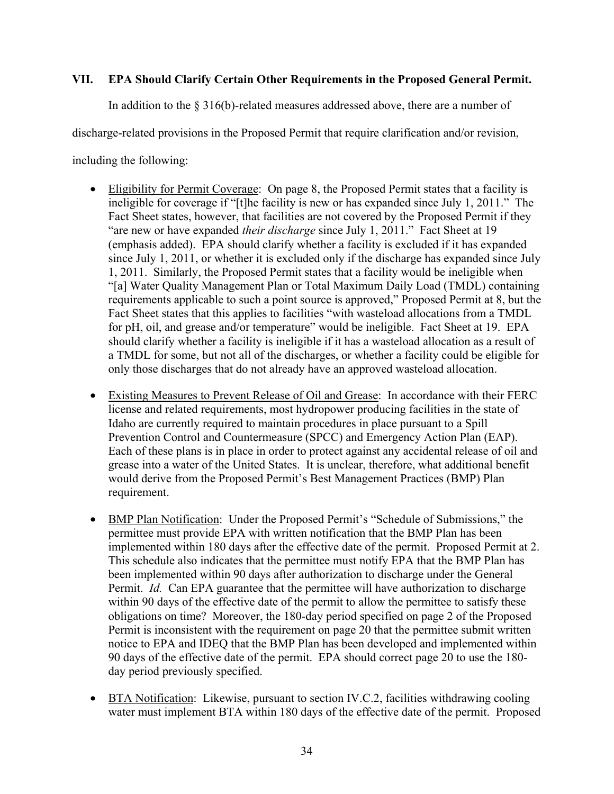## **VII. EPA Should Clarify Certain Other Requirements in the Proposed General Permit.**

In addition to the § 316(b)-related measures addressed above, there are a number of

discharge-related provisions in the Proposed Permit that require clarification and/or revision,

including the following:

- Eligibility for Permit Coverage: On page 8, the Proposed Permit states that a facility is ineligible for coverage if "[t]he facility is new or has expanded since July 1, 2011." The Fact Sheet states, however, that facilities are not covered by the Proposed Permit if they "are new or have expanded *their discharge* since July 1, 2011." Fact Sheet at 19 (emphasis added). EPA should clarify whether a facility is excluded if it has expanded since July 1, 2011, or whether it is excluded only if the discharge has expanded since July 1, 2011. Similarly, the Proposed Permit states that a facility would be ineligible when "[a] Water Quality Management Plan or Total Maximum Daily Load (TMDL) containing requirements applicable to such a point source is approved," Proposed Permit at 8, but the Fact Sheet states that this applies to facilities "with wasteload allocations from a TMDL for pH, oil, and grease and/or temperature" would be ineligible. Fact Sheet at 19. EPA should clarify whether a facility is ineligible if it has a wasteload allocation as a result of a TMDL for some, but not all of the discharges, or whether a facility could be eligible for only those discharges that do not already have an approved wasteload allocation.
- Existing Measures to Prevent Release of Oil and Grease: In accordance with their FERC license and related requirements, most hydropower producing facilities in the state of Idaho are currently required to maintain procedures in place pursuant to a Spill Prevention Control and Countermeasure (SPCC) and Emergency Action Plan (EAP). Each of these plans is in place in order to protect against any accidental release of oil and grease into a water of the United States. It is unclear, therefore, what additional benefit would derive from the Proposed Permit's Best Management Practices (BMP) Plan requirement.
- BMP Plan Notification: Under the Proposed Permit's "Schedule of Submissions," the permittee must provide EPA with written notification that the BMP Plan has been implemented within 180 days after the effective date of the permit. Proposed Permit at 2. This schedule also indicates that the permittee must notify EPA that the BMP Plan has been implemented within 90 days after authorization to discharge under the General Permit. *Id.* Can EPA guarantee that the permittee will have authorization to discharge within 90 days of the effective date of the permit to allow the permittee to satisfy these obligations on time? Moreover, the 180-day period specified on page 2 of the Proposed Permit is inconsistent with the requirement on page 20 that the permittee submit written notice to EPA and IDEQ that the BMP Plan has been developed and implemented within 90 days of the effective date of the permit. EPA should correct page 20 to use the 180 day period previously specified.
- BTA Notification: Likewise, pursuant to section IV.C.2, facilities withdrawing cooling water must implement BTA within 180 days of the effective date of the permit. Proposed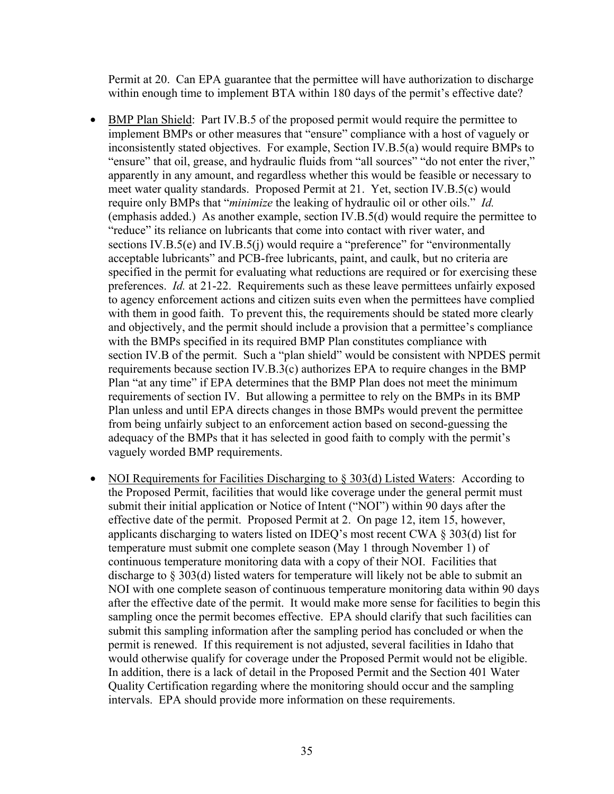Permit at 20. Can EPA guarantee that the permittee will have authorization to discharge within enough time to implement BTA within 180 days of the permit's effective date?

- BMP Plan Shield: Part IV.B.5 of the proposed permit would require the permittee to implement BMPs or other measures that "ensure" compliance with a host of vaguely or inconsistently stated objectives. For example, Section IV.B.5(a) would require BMPs to "ensure" that oil, grease, and hydraulic fluids from "all sources" "do not enter the river," apparently in any amount, and regardless whether this would be feasible or necessary to meet water quality standards. Proposed Permit at 21. Yet, section IV.B.5(c) would require only BMPs that "*minimize* the leaking of hydraulic oil or other oils." *Id.* (emphasis added.) As another example, section IV.B.5(d) would require the permittee to "reduce" its reliance on lubricants that come into contact with river water, and sections IV.B.5(e) and IV.B.5(j) would require a "preference" for "environmentally acceptable lubricants" and PCB-free lubricants, paint, and caulk, but no criteria are specified in the permit for evaluating what reductions are required or for exercising these preferences. *Id.* at 21-22. Requirements such as these leave permittees unfairly exposed to agency enforcement actions and citizen suits even when the permittees have complied with them in good faith. To prevent this, the requirements should be stated more clearly and objectively, and the permit should include a provision that a permittee's compliance with the BMPs specified in its required BMP Plan constitutes compliance with section IV.B of the permit. Such a "plan shield" would be consistent with NPDES permit requirements because section IV.B.3(c) authorizes EPA to require changes in the BMP Plan "at any time" if EPA determines that the BMP Plan does not meet the minimum requirements of section IV. But allowing a permittee to rely on the BMPs in its BMP Plan unless and until EPA directs changes in those BMPs would prevent the permittee from being unfairly subject to an enforcement action based on second-guessing the adequacy of the BMPs that it has selected in good faith to comply with the permit's vaguely worded BMP requirements.
- NOI Requirements for Facilities Discharging to § 303(d) Listed Waters: According to the Proposed Permit, facilities that would like coverage under the general permit must submit their initial application or Notice of Intent ("NOI") within 90 days after the effective date of the permit. Proposed Permit at 2. On page 12, item 15, however, applicants discharging to waters listed on IDEQ's most recent CWA § 303(d) list for temperature must submit one complete season (May 1 through November 1) of continuous temperature monitoring data with a copy of their NOI. Facilities that discharge to § 303(d) listed waters for temperature will likely not be able to submit an NOI with one complete season of continuous temperature monitoring data within 90 days after the effective date of the permit. It would make more sense for facilities to begin this sampling once the permit becomes effective. EPA should clarify that such facilities can submit this sampling information after the sampling period has concluded or when the permit is renewed. If this requirement is not adjusted, several facilities in Idaho that would otherwise qualify for coverage under the Proposed Permit would not be eligible. In addition, there is a lack of detail in the Proposed Permit and the Section 401 Water Quality Certification regarding where the monitoring should occur and the sampling intervals. EPA should provide more information on these requirements.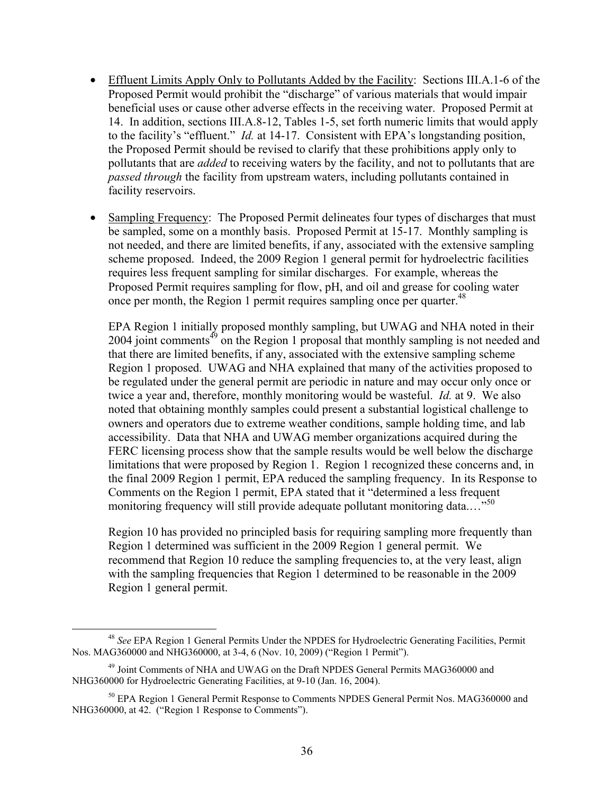- Effluent Limits Apply Only to Pollutants Added by the Facility: Sections III.A.1-6 of the Proposed Permit would prohibit the "discharge" of various materials that would impair beneficial uses or cause other adverse effects in the receiving water. Proposed Permit at 14. In addition, sections III.A.8-12, Tables 1-5, set forth numeric limits that would apply to the facility's "effluent." *Id.* at 14-17. Consistent with EPA's longstanding position, the Proposed Permit should be revised to clarify that these prohibitions apply only to pollutants that are *added* to receiving waters by the facility, and not to pollutants that are *passed through* the facility from upstream waters, including pollutants contained in facility reservoirs.
- Sampling Frequency: The Proposed Permit delineates four types of discharges that must be sampled, some on a monthly basis. Proposed Permit at 15-17. Monthly sampling is not needed, and there are limited benefits, if any, associated with the extensive sampling scheme proposed. Indeed, the 2009 Region 1 general permit for hydroelectric facilities requires less frequent sampling for similar discharges. For example, whereas the Proposed Permit requires sampling for flow, pH, and oil and grease for cooling water once per month, the Region 1 permit requires sampling once per quarter.<sup>48</sup>

EPA Region 1 initially proposed monthly sampling, but UWAG and NHA noted in their  $2004$  joint comments<sup> $49$ </sup> on the Region 1 proposal that monthly sampling is not needed and that there are limited benefits, if any, associated with the extensive sampling scheme Region 1 proposed. UWAG and NHA explained that many of the activities proposed to be regulated under the general permit are periodic in nature and may occur only once or twice a year and, therefore, monthly monitoring would be wasteful. *Id.* at 9. We also noted that obtaining monthly samples could present a substantial logistical challenge to owners and operators due to extreme weather conditions, sample holding time, and lab accessibility. Data that NHA and UWAG member organizations acquired during the FERC licensing process show that the sample results would be well below the discharge limitations that were proposed by Region 1. Region 1 recognized these concerns and, in the final 2009 Region 1 permit, EPA reduced the sampling frequency. In its Response to Comments on the Region 1 permit, EPA stated that it "determined a less frequent monitoring frequency will still provide adequate pollutant monitoring data....<sup>50</sup>

Region 10 has provided no principled basis for requiring sampling more frequently than Region 1 determined was sufficient in the 2009 Region 1 general permit. We recommend that Region 10 reduce the sampling frequencies to, at the very least, align with the sampling frequencies that Region 1 determined to be reasonable in the 2009 Region 1 general permit.

 <sup>48</sup> *See* EPA Region 1 General Permits Under the NPDES for Hydroelectric Generating Facilities, Permit Nos. MAG360000 and NHG360000, at 3-4, 6 (Nov. 10, 2009) ("Region 1 Permit").

<sup>49</sup> Joint Comments of NHA and UWAG on the Draft NPDES General Permits MAG360000 and NHG360000 for Hydroelectric Generating Facilities, at 9-10 (Jan. 16, 2004).

<sup>&</sup>lt;sup>50</sup> EPA Region 1 General Permit Response to Comments NPDES General Permit Nos. MAG360000 and NHG360000, at 42. ("Region 1 Response to Comments").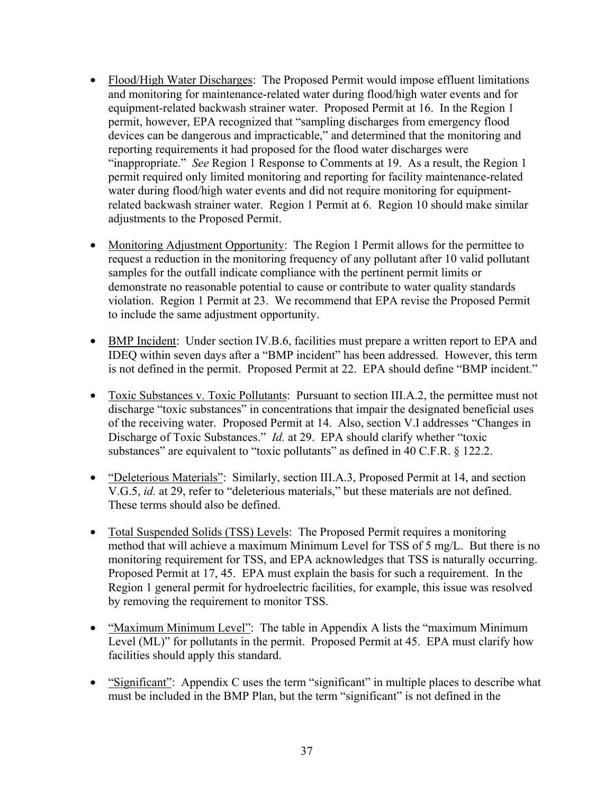- Flood/High Water Discharges: The Proposed Permit would impose effluent limitations and monitoring for maintenance-related water during flood/high water events and for equipment-related backwash strainer water. Proposed Permit at 16. In the Region 1 permit, however, EPA recognized that "sampling discharges from emergency flood devices can be dangerous and impracticable," and determined that the monitoring and reporting requirements it had proposed for the flood water discharges were "inappropriate." *See* Region 1 Response to Comments at 19. As a result, the Region 1 permit required only limited monitoring and reporting for facility maintenance-related water during flood/high water events and did not require monitoring for equipmentrelated backwash strainer water. Region 1 Permit at 6. Region 10 should make similar adjustments to the Proposed Permit.
- Monitoring Adjustment Opportunity: The Region 1 Permit allows for the permittee to request a reduction in the monitoring frequency of any pollutant after 10 valid pollutant samples for the outfall indicate compliance with the pertinent permit limits or demonstrate no reasonable potential to cause or contribute to water quality standards violation. Region 1 Permit at 23. We recommend that EPA revise the Proposed Permit to include the same adjustment opportunity.
- BMP Incident: Under section IV.B.6, facilities must prepare a written report to EPA and IDEQ within seven days after a "BMP incident" has been addressed. However, this term is not defined in the permit. Proposed Permit at 22. EPA should define "BMP incident."
- Toxic Substances v. Toxic Pollutants: Pursuant to section III.A.2, the permittee must not discharge "toxic substances" in concentrations that impair the designated beneficial uses of the receiving water. Proposed Permit at 14. Also, section V.I addresses "Changes in Discharge of Toxic Substances." *Id.* at 29. EPA should clarify whether "toxic substances" are equivalent to "toxic pollutants" as defined in 40 C.F.R. § 122.2.
- "Deleterious Materials": Similarly, section III.A.3, Proposed Permit at 14, and section V.G.5, *id.* at 29, refer to "deleterious materials," but these materials are not defined. These terms should also be defined.
- Total Suspended Solids (TSS) Levels: The Proposed Permit requires a monitoring method that will achieve a maximum Minimum Level for TSS of 5 mg/L. But there is no monitoring requirement for TSS, and EPA acknowledges that TSS is naturally occurring. Proposed Permit at 17, 45. EPA must explain the basis for such a requirement. In the Region 1 general permit for hydroelectric facilities, for example, this issue was resolved by removing the requirement to monitor TSS.
- "Maximum Minimum Level": The table in Appendix A lists the "maximum Minimum" Level (ML)" for pollutants in the permit. Proposed Permit at 45. EPA must clarify how facilities should apply this standard.
- "Significant": Appendix C uses the term "significant" in multiple places to describe what must be included in the BMP Plan, but the term "significant" is not defined in the